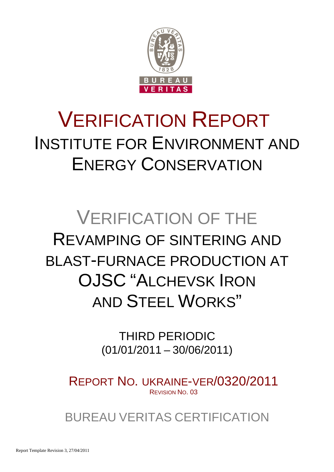

# VERIFICATION REPORT INSTITUTE FOR ENVIRONMENT AND ENERGY CONSERVATION

# VERIFICATION OF THE REVAMPING OF SINTERING AND BLAST-FURNACE PRODUCTION AT OJSC "ALCHEVSK IRON AND STEEL WORKS"

THIRD PERIODIC (01/01/2011 – 30/06/2011)

REPORT NO. UKRAINE-VER/0320/2011 REVISION NO. 03

BUREAU VERITAS CERTIFICATION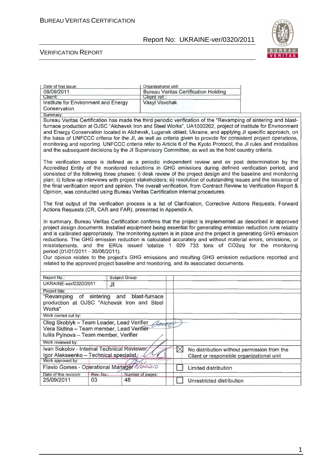

#### VERIFICATION REPORT

| Date of first issue:                                                                                                                                                                                                                                                                                                                                                                                                                                                                                                                                                                                                                                                                                                                                                                         |                     | Organizational unit: |             |                                                                                                     |                                                                                                                                                                                                                                                                                                                                                                                                                                                                                                                                                                             |
|----------------------------------------------------------------------------------------------------------------------------------------------------------------------------------------------------------------------------------------------------------------------------------------------------------------------------------------------------------------------------------------------------------------------------------------------------------------------------------------------------------------------------------------------------------------------------------------------------------------------------------------------------------------------------------------------------------------------------------------------------------------------------------------------|---------------------|----------------------|-------------|-----------------------------------------------------------------------------------------------------|-----------------------------------------------------------------------------------------------------------------------------------------------------------------------------------------------------------------------------------------------------------------------------------------------------------------------------------------------------------------------------------------------------------------------------------------------------------------------------------------------------------------------------------------------------------------------------|
| 08/09/2011                                                                                                                                                                                                                                                                                                                                                                                                                                                                                                                                                                                                                                                                                                                                                                                   |                     |                      |             | <b>Bureau Veritas Certification Holding</b>                                                         |                                                                                                                                                                                                                                                                                                                                                                                                                                                                                                                                                                             |
| Client:                                                                                                                                                                                                                                                                                                                                                                                                                                                                                                                                                                                                                                                                                                                                                                                      |                     | Client ref.:         |             |                                                                                                     |                                                                                                                                                                                                                                                                                                                                                                                                                                                                                                                                                                             |
| Institute for Environment and Energy                                                                                                                                                                                                                                                                                                                                                                                                                                                                                                                                                                                                                                                                                                                                                         |                     | Vasyl Vovchak        |             |                                                                                                     |                                                                                                                                                                                                                                                                                                                                                                                                                                                                                                                                                                             |
| Conservation                                                                                                                                                                                                                                                                                                                                                                                                                                                                                                                                                                                                                                                                                                                                                                                 |                     |                      |             |                                                                                                     |                                                                                                                                                                                                                                                                                                                                                                                                                                                                                                                                                                             |
| Summary:                                                                                                                                                                                                                                                                                                                                                                                                                                                                                                                                                                                                                                                                                                                                                                                     |                     |                      |             |                                                                                                     |                                                                                                                                                                                                                                                                                                                                                                                                                                                                                                                                                                             |
|                                                                                                                                                                                                                                                                                                                                                                                                                                                                                                                                                                                                                                                                                                                                                                                              |                     |                      |             |                                                                                                     | Bureau Veritas Certification has made the third periodic verification of the "Revamping of sintering and blast-                                                                                                                                                                                                                                                                                                                                                                                                                                                             |
|                                                                                                                                                                                                                                                                                                                                                                                                                                                                                                                                                                                                                                                                                                                                                                                              |                     |                      |             |                                                                                                     | furnace production at OJSC "Alchevsk Iron and Steel Works", UA1000262, project of Institute for Environment                                                                                                                                                                                                                                                                                                                                                                                                                                                                 |
|                                                                                                                                                                                                                                                                                                                                                                                                                                                                                                                                                                                                                                                                                                                                                                                              |                     |                      |             |                                                                                                     | and Energy Conservation located in Alchevsk, Lugansk oblast, Ukraine, and applying JI specific approach, on                                                                                                                                                                                                                                                                                                                                                                                                                                                                 |
|                                                                                                                                                                                                                                                                                                                                                                                                                                                                                                                                                                                                                                                                                                                                                                                              |                     |                      |             |                                                                                                     | the basis of UNFCCC criteria for the JI, as well as criteria given to provide for consistent project operations,<br>monitoring and reporting. UNFCCC criteria refer to Article 6 of the Kyoto Protocol, the JI rules and modalities                                                                                                                                                                                                                                                                                                                                         |
|                                                                                                                                                                                                                                                                                                                                                                                                                                                                                                                                                                                                                                                                                                                                                                                              |                     |                      |             | and the subsequent decisions by the JI Supervisory Committee, as well as the host country criteria. |                                                                                                                                                                                                                                                                                                                                                                                                                                                                                                                                                                             |
|                                                                                                                                                                                                                                                                                                                                                                                                                                                                                                                                                                                                                                                                                                                                                                                              |                     |                      |             |                                                                                                     |                                                                                                                                                                                                                                                                                                                                                                                                                                                                                                                                                                             |
| Opinion, was conducted using Bureau Veritas Certification internal procedures.                                                                                                                                                                                                                                                                                                                                                                                                                                                                                                                                                                                                                                                                                                               |                     |                      |             |                                                                                                     | The verification scope is defined as a periodic independent review and ex post determination by the<br>Accredited Entity of the monitored reductions in GHG emissions during defined verification period, and<br>consisted of the following three phases: i) desk review of the project design and the baseline and monitoring<br>plan; ii) follow-up interviews with project stakeholders; iii) resolution of outstanding issues and the issuance of<br>the final verification report and opinion. The overall verification, from Contract Review to Verification Report & |
| Actions Requests (CR, CAR and FAR), presented in Appendix A.                                                                                                                                                                                                                                                                                                                                                                                                                                                                                                                                                                                                                                                                                                                                 |                     |                      |             |                                                                                                     | The first output of the verification process is a list of Clarification, Corrective Actions Requests, Forward                                                                                                                                                                                                                                                                                                                                                                                                                                                               |
| In summary, Bureau Veritas Certification confirms that the project is implemented as described in approved<br>project design documents. Installed equipment being essential for generating emission reduction runs reliably<br>and is calibrated appropriately. The monitoring system is in place and the project is generating GHG emission<br>reductions. The GHG emission reduction is calculated accurately and without material errors, omissions, or<br>misstatements, and the ERUs issued totalize 1 029 733 tons of CO2eq for the monitoring<br>period (01/01/2011 - 30/06/2011).<br>Our opinion relates to the project's GHG emissions and resulting GHG emission reductions reported and<br>related to the approved project baseline and monitoring, and its associated documents. |                     |                      |             |                                                                                                     |                                                                                                                                                                                                                                                                                                                                                                                                                                                                                                                                                                             |
| Report No.:                                                                                                                                                                                                                                                                                                                                                                                                                                                                                                                                                                                                                                                                                                                                                                                  |                     | Subject Group:       |             |                                                                                                     |                                                                                                                                                                                                                                                                                                                                                                                                                                                                                                                                                                             |
| UKRAINE-ver/0320/2011                                                                                                                                                                                                                                                                                                                                                                                                                                                                                                                                                                                                                                                                                                                                                                        | JI                  |                      |             |                                                                                                     |                                                                                                                                                                                                                                                                                                                                                                                                                                                                                                                                                                             |
| Project title:                                                                                                                                                                                                                                                                                                                                                                                                                                                                                                                                                                                                                                                                                                                                                                               |                     |                      |             |                                                                                                     |                                                                                                                                                                                                                                                                                                                                                                                                                                                                                                                                                                             |
| "Revamping<br>production at OJSC "Alchevsk Iron and Steel<br>Works"                                                                                                                                                                                                                                                                                                                                                                                                                                                                                                                                                                                                                                                                                                                          | of sintering<br>and | blast-furnace        |             |                                                                                                     |                                                                                                                                                                                                                                                                                                                                                                                                                                                                                                                                                                             |
| Work carried out by:                                                                                                                                                                                                                                                                                                                                                                                                                                                                                                                                                                                                                                                                                                                                                                         |                     |                      |             |                                                                                                     |                                                                                                                                                                                                                                                                                                                                                                                                                                                                                                                                                                             |
| Oleg Skoblyk - Team Leader, Lead Verifier<br>Vera Skitina - Team member, Lead Verifier<br>Iuliia Pylnova - Team member, Verifier                                                                                                                                                                                                                                                                                                                                                                                                                                                                                                                                                                                                                                                             |                     |                      |             |                                                                                                     |                                                                                                                                                                                                                                                                                                                                                                                                                                                                                                                                                                             |
| Work reviewed by:                                                                                                                                                                                                                                                                                                                                                                                                                                                                                                                                                                                                                                                                                                                                                                            |                     |                      |             |                                                                                                     |                                                                                                                                                                                                                                                                                                                                                                                                                                                                                                                                                                             |
| Ivan Sokolov - Internal Technical Reviewer,                                                                                                                                                                                                                                                                                                                                                                                                                                                                                                                                                                                                                                                                                                                                                  |                     |                      | $\boxtimes$ | No distribution without permission from the                                                         |                                                                                                                                                                                                                                                                                                                                                                                                                                                                                                                                                                             |
| Igor Alekseenko - Technical specialist<br>Work approved by:                                                                                                                                                                                                                                                                                                                                                                                                                                                                                                                                                                                                                                                                                                                                  |                     |                      |             | Client or responsible organizational unit                                                           |                                                                                                                                                                                                                                                                                                                                                                                                                                                                                                                                                                             |
| Flavio Gomes - Operational Manager 20000                                                                                                                                                                                                                                                                                                                                                                                                                                                                                                                                                                                                                                                                                                                                                     |                     |                      |             | Limited distribution                                                                                |                                                                                                                                                                                                                                                                                                                                                                                                                                                                                                                                                                             |
| Date of this revision:                                                                                                                                                                                                                                                                                                                                                                                                                                                                                                                                                                                                                                                                                                                                                                       | Rev. No.:           | Number of pages:     |             |                                                                                                     |                                                                                                                                                                                                                                                                                                                                                                                                                                                                                                                                                                             |
| 25/09/2011                                                                                                                                                                                                                                                                                                                                                                                                                                                                                                                                                                                                                                                                                                                                                                                   | 03                  | 48                   |             | Unrestricted distribution                                                                           |                                                                                                                                                                                                                                                                                                                                                                                                                                                                                                                                                                             |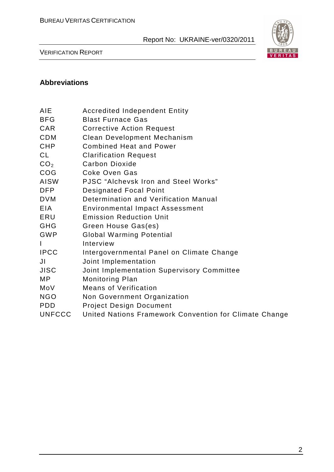

VERIFICATION REPORT

# **Abbreviations**

- BFG Blast Furnace Gas
- CAR Corrective Action Request
- CDM Clean Development Mechanism
- CHP Combined Heat and Power
- CL Clarification Request
- CO<sub>2</sub> Carbon Dioxide
- COG Coke Oven Gas
- AISW PJSC "Alchevsk Iron and Steel Works"
- DFP Designated Focal Point
- DVM Determination and Verification Manual
- EIA Environmental Impact Assessment
- ERU Emission Reduction Unit
- GHG Green House Gas(es)
- GWP Global Warming Potential
- I Interview
- IPCC Intergovernmental Panel on Climate Change
- JI Joint Implementation
- JISC Joint Implementation Supervisory Committee
- MP Monitoring Plan
- MoV Means of Verification
- NGO Non Government Organization
- PDD Project Design Document
- UNFCCC United Nations Framework Convention for Climate Change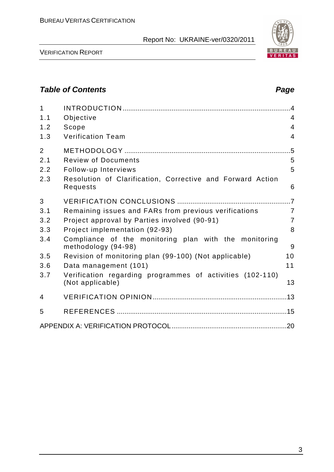

VERIFICATION REPORT

# **Table of Contents Page 2018**

| $\mathbf{1}$   |                                                                               |                |
|----------------|-------------------------------------------------------------------------------|----------------|
| 1.1            | Objective                                                                     | $\overline{4}$ |
| 1.2            | Scope                                                                         | $\overline{4}$ |
| 1.3            | <b>Verification Team</b>                                                      | $\overline{4}$ |
| $\overline{2}$ |                                                                               | $.5\,$         |
| 2.1            | <b>Review of Documents</b>                                                    | 5              |
| 2.2            | Follow-up Interviews                                                          | 5              |
| 2.3            | Resolution of Clarification, Corrective and Forward Action<br>Requests        | 6              |
| 3              |                                                                               |                |
| 3.1            | Remaining issues and FARs from previous verifications                         | $\overline{7}$ |
| 3.2            | Project approval by Parties involved (90-91)                                  | $\overline{7}$ |
| 3.3            | Project implementation (92-93)                                                | 8              |
| 3.4            | Compliance of the monitoring plan with the monitoring<br>methodology (94-98)  | 9              |
| 3.5            | Revision of monitoring plan (99-100) (Not applicable)                         | 10             |
| 3.6            | Data management (101)                                                         | 11             |
| 3.7            | Verification regarding programmes of activities (102-110)<br>(Not applicable) | 13             |
| 4              |                                                                               |                |
| 5              |                                                                               |                |
|                |                                                                               |                |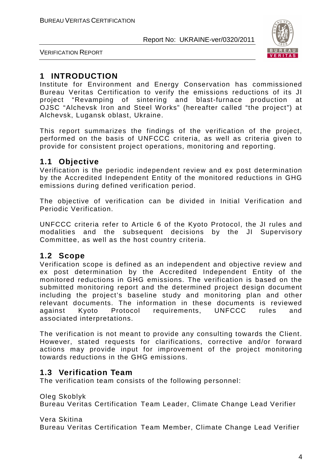

VERIFICATION REPORT

# **1 INTRODUCTION**

Institute for Environment and Energy Conservation has commissioned Bureau Veritas Certification to verify the emissions reductions of its JI project "Revamping of sintering and blast-furnace production at OJSC "Alchevsk Iron and Steel Works" (hereafter called "the project") at Alchevsk, Lugansk oblast, Ukraine.

This report summarizes the findings of the verification of the project, performed on the basis of UNFCCC criteria, as well as criteria given to provide for consistent project operations, monitoring and reporting.

## **1.1 Objective**

Verification is the periodic independent review and ex post determination by the Accredited Independent Entity of the monitored reductions in GHG emissions during defined verification period.

The objective of verification can be divided in Initial Verification and Periodic Verification.

UNFCCC criteria refer to Article 6 of the Kyoto Protocol, the JI rules and modalities and the subsequent decisions by the JI Supervisory Committee, as well as the host country criteria.

## **1.2 Scope**

Verification scope is defined as an independent and objective review and ex post determination by the Accredited Independent Entity of the monitored reductions in GHG emissions. The verification is based on the submitted monitoring report and the determined project design document including the project's baseline study and monitoring plan and other relevant documents. The information in these documents is reviewed against Kyoto Protocol requirements, UNFCCC rules and associated interpretations.

The verification is not meant to provide any consulting towards the Client. However, stated requests for clarifications, corrective and/or forward actions may provide input for improvement of the project monitoring towards reductions in the GHG emissions.

# **1.3 Verification Team**

The verification team consists of the following personnel:

Oleg Skoblyk

Bureau Veritas Certification Team Leader, Climate Change Lead Verifier

Vera Skitina

Bureau Veritas Certification Team Member, Climate Change Lead Verifier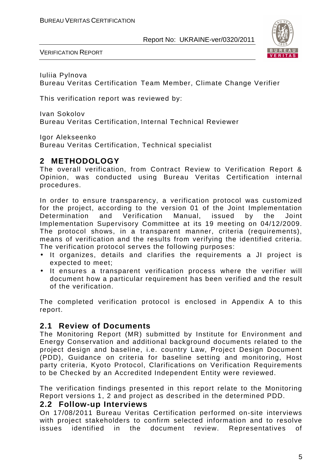

VERIFICATION REPORT

Iuliia Pylnova Bureau Veritas Certification Team Member, Climate Change Verifier

This verification report was reviewed by:

Ivan Sokolov Bureau Veritas Certification, Internal Technical Reviewer

Igor Alekseenko

Bureau Veritas Certification, Technical specialist

# **2 METHODOLOGY**

The overall verification, from Contract Review to Verification Report & Opinion, was conducted using Bureau Veritas Certification internal procedures.

In order to ensure transparency, a verification protocol was customized for the project, according to the version 01 of the Joint Implementation Determination and Verification Manual, issued by the Joint Implementation Supervisory Committee at its 19 meeting on 04/12/2009. The protocol shows, in a transparent manner, criteria (requirements), means of verification and the results from verifying the identified criteria. The verification protocol serves the following purposes:

- It organizes, details and clarifies the requirements a JI project is expected to meet;
- It ensures a transparent verification process where the verifier will document how a particular requirement has been verified and the result of the verification.

The completed verification protocol is enclosed in Appendix A to this report.

## **2.1 Review of Documents**

The Monitoring Report (MR) submitted by Institute for Environment and Energy Conservation and additional background documents related to the project design and baseline, i.e. country Law, Project Design Document (PDD), Guidance on criteria for baseline setting and monitoring, Host party criteria, Kyoto Protocol, Clarifications on Verification Requirements to be Checked by an Accredited Independent Entity were reviewed.

The verification findings presented in this report relate to the Monitoring Report versions 1, 2 and project as described in the determined PDD.

#### **2.2 Follow-up Interviews**

On 17/08/2011 Bureau Veritas Certification performed on-site interviews with project stakeholders to confirm selected information and to resolve issues identified in the document review. Representatives of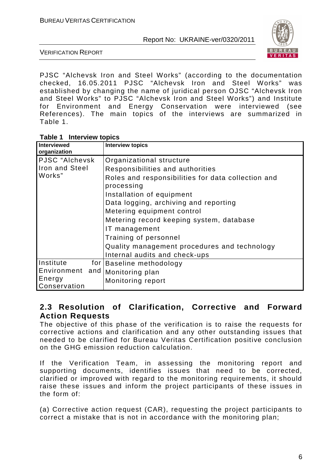

VERIFICATION REPORT

PJSC "Alchevsk Iron and Steel Works" (according to the documentation checked, 16.05.2011 PJSC "Alchevsk Iron and Steel Works" was established by changing the name of juridical person OJSC "Alchevsk Iron and Steel Works" to PJSC "Alchevsk Iron and Steel Works") and Institute for Environment and Energy Conservation were interviewed (see References). The main topics of the interviews are summarized in Table 1.

| <b>Interviewed</b><br>organization |             | <b>Interview topics</b>                                          |
|------------------------------------|-------------|------------------------------------------------------------------|
| PJSC "Alchevsk                     |             | Organizational structure                                         |
| Iron and Steel                     |             | Responsibilities and authorities                                 |
| Works"                             |             | Roles and responsibilities for data collection and<br>processing |
|                                    |             | Installation of equipment                                        |
|                                    |             | Data logging, archiving and reporting                            |
|                                    |             | Metering equipment control                                       |
|                                    |             | Metering record keeping system, database                         |
|                                    |             | IT management                                                    |
|                                    |             | Training of personnel                                            |
|                                    |             | Quality management procedures and technology                     |
|                                    |             | Internal audits and check-ups                                    |
| Institute                          | for $\vert$ | Baseline methodology                                             |
| Environment and                    |             | Monitoring plan                                                  |
| Energy<br>Conservation             |             | Monitoring report                                                |

## **2.3 Resolution of Clarification, Corrective and Forward Action Requests**

The objective of this phase of the verification is to raise the requests for corrective actions and clarification and any other outstanding issues that needed to be clarified for Bureau Veritas Certification positive conclusion on the GHG emission reduction calculation.

If the Verification Team, in assessing the monitoring report and supporting documents, identifies issues that need to be corrected, clarified or improved with regard to the monitoring requirements, it should raise these issues and inform the project participants of these issues in the form of:

(a) Corrective action request (CAR), requesting the project participants to correct a mistake that is not in accordance with the monitoring plan;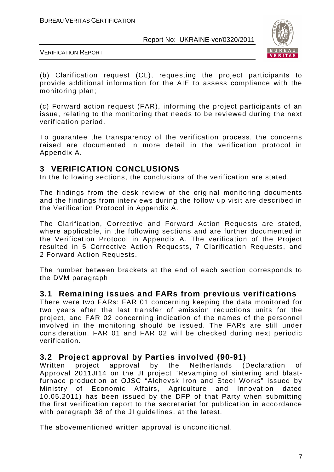

VERIFICATION REPORT

(b) Clarification request (CL), requesting the project participants to provide additional information for the AIE to assess compliance with the monitoring plan;

(c) Forward action request (FAR), informing the project participants of an issue, relating to the monitoring that needs to be reviewed during the next verification period.

To guarantee the transparency of the verification process, the concerns raised are documented in more detail in the verification protocol in Appendix A.

# **3 VERIFICATION CONCLUSIONS**

In the following sections, the conclusions of the verification are stated.

The findings from the desk review of the original monitoring documents and the findings from interviews during the follow up visit are described in the Verification Protocol in Appendix A.

The Clarification, Corrective and Forward Action Requests are stated, where applicable, in the following sections and are further documented in the Verification Protocol in Appendix A. The verification of the Project resulted in 5 Corrective Action Requests, 7 Clarification Requests, and 2 Forward Action Requests.

The number between brackets at the end of each section corresponds to the DVM paragraph.

## **3.1 Remaining issues and FARs from previous verifications**

There were two FARs: FAR 01 concerning keeping the data monitored for two years after the last transfer of emission reductions units for the project, and FAR 02 concerning indication of the names of the personnel involved in the monitoring should be issued. The FARs are still under consideration. FAR 01 and FAR 02 will be checked during next periodic verification.

## **3.2 Project approval by Parties involved (90-91)**

Written project approval by the Netherlands (Declaration of Approval 2011JI14 on the JI project "Revamping of sintering and blastfurnace production at OJSC "Alchevsk Iron and Steel Works" issued by Ministry of Economic Affairs, Agriculture and Innovation dated 10.05.2011) has been issued by the DFP of that Party when submitting the first verification report to the secretariat for publication in accordance with paragraph 38 of the JI guidelines, at the latest.

The abovementioned written approval is unconditional.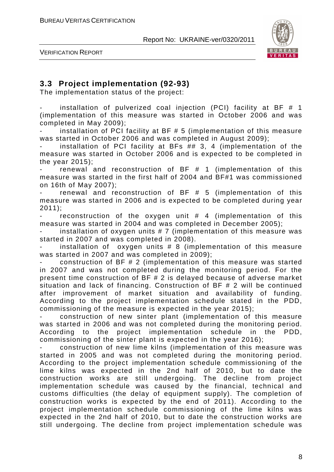

VERIFICATION REPORT

# **3.3 Project implementation (92-93)**

The implementation status of the project:

installation of pulverized coal injection (PCI) facility at BF  $#$  1 (implementation of this measure was started in October 2006 and was completed in May 2009);

installation of PCI facility at BF  $# 5$  (implementation of this measure was started in October 2006 and was completed in August 2009);

installation of PCI facility at BFs  $## 3, 4$  (implementation of the measure was started in October 2006 and is expected to be completed in the year 2015);

renewal and reconstruction of  $BF$   $#$  1 (implementation of this measure was started in the first half of 2004 and BF#1 was commissioned on 16th of May 2007);

renewal and reconstruction of BF  $#$  5 (implementation of this measure was started in 2006 and is expected to be completed during year 2011);

reconstruction of the oxygen unit  $#$  4 (implementation of this measure was started in 2004 and was completed in December 2005);

installation of oxygen units  $# 7$  (implementation of this measure was started in 2007 and was completed in 2008).

installation of oxygen units  $# 8$  (implementation of this measure was started in 2007 and was completed in 2009);

construction of  $BF # 2$  (implementation of this measure was started in 2007 and was not completed during the monitoring period. For the present time construction of BF # 2 is delayed because of adverse market situation and lack of financing. Construction of BF # 2 will be continued after improvement of market situation and availability of funding. According to the project implementation schedule stated in the PDD, commissioning of the measure is expected in the year 2015);

- construction of new sinter plant (implementation of this measure was started in 2006 and was not completed during the monitoring period. According to the project implementation schedule in the PDD, commissioning of the sinter plant is expected in the year 2016);

- construction of new lime kilns (implementation of this measure was started in 2005 and was not completed during the monitoring period. According to the project implementation schedule commissioning of the lime kilns was expected in the 2nd half of 2010, but to date the construction works are still undergoing. The decline from project implementation schedule was caused by the financial, technical and customs difficulties (the delay of equipment supply). The completion of construction works is expected by the end of 2011). According to the project implementation schedule commissioning of the lime kilns was expected in the 2nd half of 2010, but to date the construction works are still undergoing. The decline from project implementation schedule was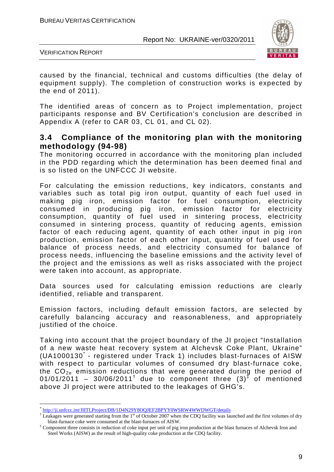

VERIFICATION REPORT

caused by the financial, technical and customs difficulties (the delay of equipment supply). The completion of construction works is expected by the end of 2011).

The identified areas of concern as to Project implementation, project participants response and BV Certification's conclusion are described in Appendix A (refer to CAR 03, CL 01, and CL 02).

## **3.4 Compliance of the monitoring plan with the monitoring methodology (94-98)**

The monitoring occurred in accordance with the monitoring plan included in the PDD regarding which the determination has been deemed final and is so listed on the UNFCCC JI website.

For calculating the emission reductions, key indicators, constants and variables such as total pig iron output, quantity of each fuel used in making pig iron, emission factor for fuel consumption, electricity consumed in producing pig iron, emission factor for electricity consumption, quantity of fuel used in sintering process, electricity consumed in sintering process, quantity of reducing agents, emission factor of each reducing agent, quantity of each other input in pig iron production, emission factor of each other input, quantity of fuel used for balance of process needs, and electricity consumed for balance of process needs, influencing the baseline emissions and the activity level of the project and the emissions as well as risks associated with the project were taken into account, as appropriate.

Data sources used for calculating emission reductions are clearly identified, reliable and transparent.

Emission factors, including default emission factors, are selected by carefully balancing accuracy and reasonableness, and appropriately justified of the choice.

Taking into account that the project boundary of the JI project "Installation of a new waste heat recovery system at Alchevsk Coke Plant, Ukraine" (UA1000130<sup>\*</sup> - registered under Track 1) includes blast-furnaces of AISW with respect to particular volumes of consumed dry blast-furnace coke, the  $CO<sub>2e</sub>$  emission reductions that were generated during the period of 01/01/2011 - 30/06/2011<sup>†</sup> due to component three  $(3)^{\frac{1}{2}}$  of mentioned above JI project were attributed to the leakages of GHG's.

 $\overline{a}$ 

<sup>\*</sup> http://ji.unfccc.int/JIITLProject/DB/1D4N29Y8OQJEF2BPYY0WSRW4WWDWGT/details

<sup>&</sup>lt;sup>†</sup> Leakages were generated starting from the 1<sup>st</sup> of October 2007 when the CDQ facility was launched and the first volumes of dry blast-furnace coke were consumed at the blast-furnaces of AISW.

<sup>‡</sup> Component three consists in reduction of coke input per unit of pig iron production at the blast furnaces of Alchevsk Iron and Steel Works (AISW) as the result of high-quality coke production at the CDQ facility.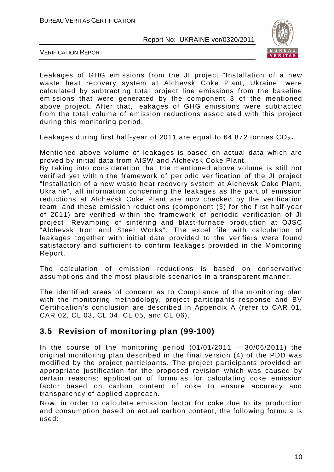

VERIFICATION REPORT

Leakages of GHG emissions from the JI project "Installation of a new waste heat recovery system at Alchevsk Coke Plant, Ukraine" were calculated by subtracting total project line emissions from the baseline emissions that were generated by the component 3 of the mentioned above project. After that, leakages of GHG emissions were subtracted from the total volume of emission reductions associated with this project during this monitoring period.

Leakages during first half-year of 2011 are equal to 64 872 tonnes  $CO_{2e}$ .

Mentioned above volume of leakages is based on actual data which are proved by initial data from AISW and Alchevsk Coke Plant.

By taking into consideration that the mentioned above volume is still not verified yet within the framework of periodic verification of the JI project "Installation of a new waste heat recovery system at Alchevsk Coke Plant, Ukraine", all information concerning the leakages as the part of emission reductions at Alchevsk Coke Plant are now checked by the verification team, and these emission reductions (component (3) for the first half-year of 2011) are verified within the framework of periodic verification of JI project "Revamping of sintering and blast-furnace production at OJSC "Alchevsk Iron and Steel Works". The excel file with calculation of leakages together with initial data provided to the verifiers were found satisfactory and sufficient to confirm leakages provided in the Monitoring Report.

The calculation of emission reductions is based on conservative assumptions and the most plausible scenarios in a transparent manner.

The identified areas of concern as to Compliance of the monitoring plan with the monitoring methodology, project participants response and BV Certification's conclusion are described in Appendix A (refer to CAR 01, CAR 02, CL 03, CL 04, CL 05, and CL 06).

# **3.5 Revision of monitoring plan (99-100)**

In the course of the monitoring period  $(01/01/2011 - 30/06/2011)$  the original monitoring plan described in the final version (4) of the PDD was modified by the project participants. The project participants provided an appropriate justification for the proposed revision which was caused by certain reasons: application of formulas for calculating coke emission factor based on carbon content of coke to ensure accuracy and transparency of applied approach.

Now, in order to calculate emission factor for coke due to its production and consumption based on actual carbon content, the following formula is used: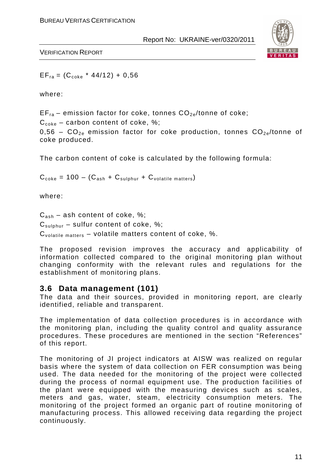

VERIFICATION REPORT

 $EF_{ra} = (C_{coke} * 44/12) + 0,56$ 

where:

 $EF_{ra}$  – emission factor for coke, tonnes  $CO_{2e}/$ tonne of coke;

 $C_{\text{code}}$  – carbon content of coke, %;

0.56 –  $CO_{2e}$  emission factor for coke production, tonnes  $CO_{2e}/t$ onne of coke produced.

The carbon content of coke is calculated by the following formula:

 $C_{\text{code}} = 100 - (C_{\text{ash}} + C_{\text{subhur}} + C_{\text{volatile matters}})$ 

where:

 $C_{ash}$  – ash content of coke, %;

 $C_{\text{subbur}}$  – sulfur content of coke, %;

 $C_{\text{volatile matters}}$  – volatile matters content of coke, %.

The proposed revision improves the accuracy and applicability of information collected compared to the original monitoring plan without changing conformity with the relevant rules and regulations for the establishment of monitoring plans.

## **3.6 Data management (101)**

The data and their sources, provided in monitoring report, are clearly identified, reliable and transparent.

The implementation of data collection procedures is in accordance with the monitoring plan, including the quality control and quality assurance procedures. These procedures are mentioned in the section "References" of this report.

The monitoring of JI project indicators at AISW was realized on regular basis where the system of data collection on FER consumption was being used. The data needed for the monitoring of the project were collected during the process of normal equipment use. The production facilities of the plant were equipped with the measuring devices such as scales, meters and gas, water, steam, electricity consumption meters. The monitoring of the project formed an organic part of routine monitoring of manufacturing process. This allowed receiving data regarding the project continuously.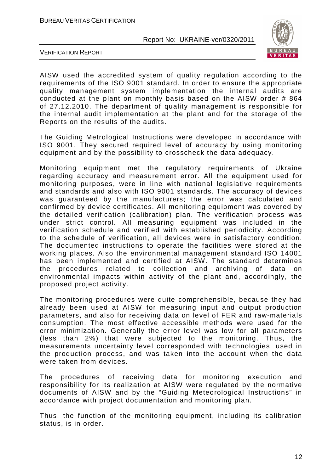

VERIFICATION REPORT

AISW used the accredited system of quality regulation according to the requirements of the ISO 9001 standard. In order to ensure the appropriate quality management system implementation the internal audits are conducted at the plant on monthly basis based on the AISW order # 864 of 27.12.2010. The department of quality management is responsible for the internal audit implementation at the plant and for the storage of the Reports on the results of the audits.

The Guiding Metrological Instructions were developed in accordance with ISO 9001. They secured required level of accuracy by using monitoring equipment and by the possibility to crosscheck the data adequacy.

Monitoring equipment met the regulatory requirements of Ukraine regarding accuracy and measurement error. All the equipment used for monitoring purposes, were in line with national legislative requirements and standards and also with ISO 9001 standards. The accuracy of devices was guaranteed by the manufacturers; the error was calculated and confirmed by device certificates. All monitoring equipment was covered by the detailed verification (calibration) plan. The verification process was under strict control. All measuring equipment was included in the verification schedule and verified with established periodicity. According to the schedule of verification, all devices were in satisfactory condition. The documented instructions to operate the facilities were stored at the working places. Also the environmental management standard ISO 14001 has been implemented and certified at AISW. The standard determines the procedures related to collection and archiving of data on environmental impacts within activity of the plant and, accordingly, the proposed project activity.

The monitoring procedures were quite comprehensible, because they had already been used at AISW for measuring input and output production parameters, and also for receiving data on level of FER and raw-materials consumption. The most effective accessible methods were used for the error minimization. Generally the error level was low for all parameters (less than 2%) that were subjected to the monitoring. Thus, the measurements uncertainty level corresponded with technologies, used in the production process, and was taken into the account when the data were taken from devices.

The procedures of receiving data for monitoring execution and responsibility for its realization at AISW were regulated by the normative documents of AISW and by the "Guiding Meteorological Instructions" in accordance with project documentation and monitoring plan.

Thus, the function of the monitoring equipment, including its calibration status, is in order.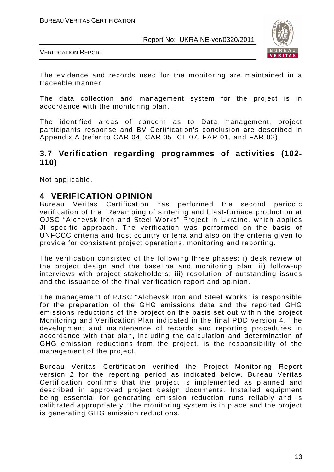

VERIFICATION REPORT

The evidence and records used for the monitoring are maintained in a traceable manner.

The data collection and management system for the project is in accordance with the monitoring plan.

The identified areas of concern as to Data management, project participants response and BV Certification's conclusion are described in Appendix A (refer to CAR 04, CAR 05, CL 07, FAR 01, and FAR 02).

## **3.7 Verification regarding programmes of activities (102- 110)**

Not applicable.

## **4 VERIFICATION OPINION**

Bureau Veritas Certification has performed the second periodic verification of the "Revamping of sintering and blast-furnace production at OJSC "Alchevsk Iron and Steel Works" Project in Ukraine, which applies JI specific approach. The verification was performed on the basis of UNFCCC criteria and host country criteria and also on the criteria given to provide for consistent project operations, monitoring and reporting.

The verification consisted of the following three phases: i) desk review of the project design and the baseline and monitoring plan; ii) follow-up interviews with project stakeholders; iii) resolution of outstanding issues and the issuance of the final verification report and opinion.

The management of PJSC "Alchevsk Iron and Steel Works" is responsible for the preparation of the GHG emissions data and the reported GHG emissions reductions of the project on the basis set out within the project Monitoring and Verification Plan indicated in the final PDD version 4. The development and maintenance of records and reporting procedures in accordance with that plan, including the calculation and determination of GHG emission reductions from the project, is the responsibility of the management of the project.

Bureau Veritas Certification verified the Project Monitoring Report version 2 for the reporting period as indicated below. Bureau Veritas Certification confirms that the project is implemented as planned and described in approved project design documents. Installed equipment being essential for generating emission reduction runs reliably and is calibrated appropriately. The monitoring system is in place and the project is generating GHG emission reductions.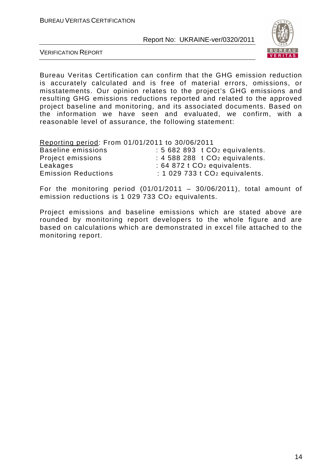

VERIFICATION REPORT

Bureau Veritas Certification can confirm that the GHG emission reduction is accurately calculated and is free of material errors, omissions, or misstatements. Our opinion relates to the project's GHG emissions and resulting GHG emissions reductions reported and related to the approved project baseline and monitoring, and its associated documents. Based on the information we have seen and evaluated, we confirm, with a reasonable level of assurance, the following statement:

Reporting period: From 01/01/2011 to 30/06/2011

| Baseline emissions         | $: 5682893$ t $CO2$ equivalents.                |
|----------------------------|-------------------------------------------------|
| Project emissions          | $\div$ 4 588 288 t CO <sub>2</sub> equivalents. |
| Leakages                   | $: 64872$ t CO <sub>2</sub> equivalents.        |
| <b>Emission Reductions</b> | $: 1029733$ t $CO2$ equivalents.                |

For the monitoring period  $(01/01/2011 - 30/06/2011)$ , total amount of emission reductions is 1 029 733 CO2 equivalents.

Project emissions and baseline emissions which are stated above are rounded by monitoring report developers to the whole figure and are based on calculations which are demonstrated in excel file attached to the monitoring report.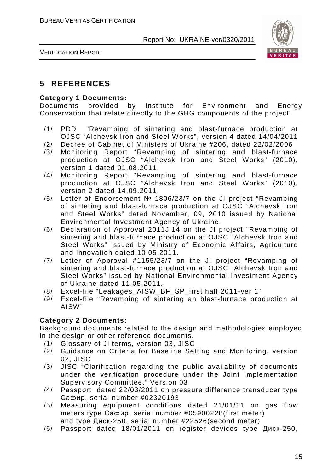

VERIFICATION REPORT

# **5 REFERENCES**

#### **Category 1 Documents:**

Documents provided by Institute for Environment and Energy Conservation that relate directly to the GHG components of the project.

- /1/ PDD "Revamping of sintering and blast-furnace production at OJSC "Alchevsk Iron and Steel Works", version 4 dated 14/04/2011
- /2/ Decree of Cabinet of Ministers of Ukraine #206, dated 22/02/2006
- /3/ Monitoring Report "Revamping of sintering and blast-furnace production at OJSC "Alchevsk Iron and Steel Works" (2010), version 1 dated 01.08.2011.
- /4/ Monitoring Report "Revamping of sintering and blast-furnace production at OJSC "Alchevsk Iron and Steel Works" (2010), version 2 dated 14.09.2011.
- /5/ Letter of Endorsement № 1806/23/7 on the JI project "Revamping of sintering and blast-furnace production at OJSC "Alchevsk Iron and Steel Works" dated November, 09, 2010 issued by National Environmental Investment Agency of Ukraine.
- /6/ Declaration of Approval 2011JI14 on the JI project "Revamping of sintering and blast-furnace production at OJSC "Alchevsk Iron and Steel Works" issued by Ministry of Economic Affairs, Agriculture and Innovation dated 10.05.2011.
- /7/ Letter of Approval #1155/23/7 on the JI project "Revamping of sintering and blast-furnace production at OJSC "Alchevsk Iron and Steel Works" issued by National Environmental Investment Agency of Ukraine dated 11.05.2011.
- /8/ Excel-file "Leakages\_AISW\_BF\_SP\_first half 2011-ver 1"
- /9/ Excel-file "Revamping of sintering an blast-furnace production at AISW"

#### **Category 2 Documents:**

Background documents related to the design and methodologies employed in the design or other reference documents.

- /1/ Glossary of JI terms, version 03, JISC
- /2/ Guidance on Criteria for Baseline Setting and Monitoring, version 02, JISC
- /3/ JISC "Clarification regarding the public availability of documents under the verification procedure under the Joint Implementation Supervisory Committee." Version 03
- /4/ Passport dated 22/03/2011 on pressure difference transducer type Сафир, serial number #02320193
- /5/ Measuring equipment conditions dated 21/01/11 on gas flow meters type Сафир, serial number #05900228(first meter) and type Диск-250, serial number #22526(second meter)
-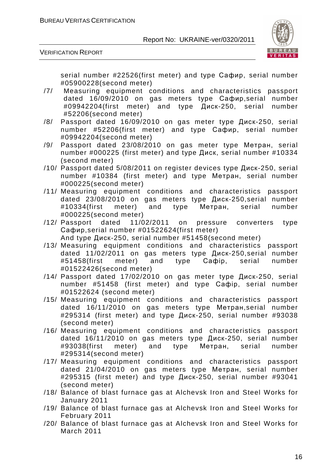

VERIFICATION REPORT

serial number #22526(first meter) and type Сафир, serial number #05900228(second meter)

- /7/ Measuring equipment conditions and characteristics passport dated 16/09/2010 on gas meters type Сафир,serial number #09942204(first meter) and type Диск-250, serial number #52206(second meter)
- /8/ Passport dated 16/09/2010 on gas meter type Диск-250, serial number #52206(first meter) and type Сафир, serial number #09942204(second meter)
- /9/ Passport dated 23/08/2010 on gas meter type Метран, serial number #000225 (first meter) and type Диск, serial number #10334 (second meter)
- /10/ Passport dated 5/08/2011 on register devices type Диск-250, serial number #10384 (first meter) and type Метран, serial number #000225(second meter)
- /11/ Measuring equipment conditions and characteristics passport dated 23/08/2010 on gas meters type Диск-250,serial number #10334(first meter) and type Метран, serial number #000225(second meter)
- /12/ Passport dated 11/02/2011 on pressure converters type Сафир,serial number #01522624(first meter) And type Диск-250, serial number #51458(second meter)
- /13/ Measuring equipment conditions and characteristics passport dated 11/02/2011 on gas meters type Диск-250,serial number #51458(first meter) and type Сафір, serial number #01522426(second meter)
- /14/ Passport dated 17/02/2010 on gas meter type Диск-250, serial number #51458 (first meter) and type Сафір, serial number #01522624 (second meter)
- /15/ Measuring equipment conditions and characteristics passport dated 16/11/2010 on gas meters type Метран,serial number #295314 (first meter) and type Диск-250, serial number #93038 (second meter)
- /16/ Measuring equipment conditions and characteristics passport dated 16/11/2010 on gas meters type Диск-250, serial number #93038(first meter) and type Метран, serial number #295314(second meter)
- /17/ Measuring equipment conditions and characteristics passport dated 21/04/2010 on gas meters type Метран, serial number #295315 (first meter) and type Диск-250, serial number #93041 (second meter)
- /18/ Balance of blast furnace gas at Alchevsk Iron and Steel Works for January 2011
- /19/ Balance of blast furnace gas at Alchevsk Iron and Steel Works for February 2011
- /20/ Balance of blast furnace gas at Alchevsk Iron and Steel Works for March 2011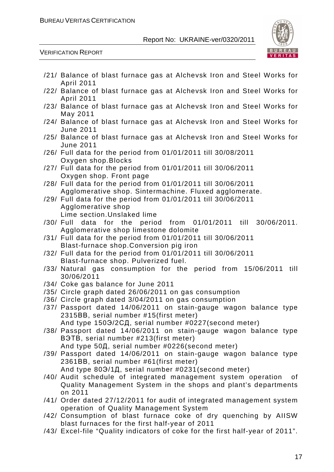

VERIFICATION REPORT

| /21/ Balance of blast furnace gas at Alchevsk Iron and Steel Works for                                                                                                         |
|--------------------------------------------------------------------------------------------------------------------------------------------------------------------------------|
| <b>April 2011</b>                                                                                                                                                              |
| /22/ Balance of blast furnace gas at Alchevsk Iron and Steel Works for<br>April 2011                                                                                           |
| /23/ Balance of blast furnace gas at Alchevsk Iron and Steel Works for<br>May 2011                                                                                             |
| /24/ Balance of blast furnace gas at Alchevsk Iron and Steel Works for<br><b>June 2011</b>                                                                                     |
| /25/ Balance of blast furnace gas at Alchevsk Iron and Steel Works for<br><b>June 2011</b>                                                                                     |
| /26/ Full data for the period from 01/01/2011 till 30/08/2011<br>Oxygen shop. Blocks                                                                                           |
| /27/ Full data for the period from 01/01/2011 till 30/06/2011                                                                                                                  |
| Oxygen shop. Front page<br>/28/ Full data for the period from 01/01/2011 till 30/06/2011                                                                                       |
| Agglomerative shop. Sintermachine. Fluxed agglomerate.<br>/29/ Full data for the period from 01/01/2011 till 30/06/2011                                                        |
| Agglomerative shop<br>Lime section. Unslaked lime                                                                                                                              |
| /30/ Full data for the period from 01/01/2011 till 30/06/2011.<br>Agglomerative shop limestone dolomite                                                                        |
| /31/ Full data for the period from 01/01/2011 till 30/06/2011<br>Blast-furnace shop. Conversion pig iron                                                                       |
| /32/ Full data for the period from 01/01/2011 till 30/06/2011                                                                                                                  |
| Blast-furnace shop. Pulverized fuel.<br>/33/ Natural gas consumption for the period from 15/06/2011 till<br>30/06/2011                                                         |
| /34/ Coke gas balance for June 2011                                                                                                                                            |
| /35/ Circle graph dated 26/06/2011 on gas consumption                                                                                                                          |
| /36/ Circle graph dated 3/04/2011 on gas consumption                                                                                                                           |
| /37/ Passport dated 14/06/2011 on stain-gauge wagon balance type<br>2315BB, serial number #15(first meter)                                                                     |
|                                                                                                                                                                                |
| And type 150Э/2СД, serial number #0227(second meter)<br>/38/ Passport dated 14/06/2011 on stain-gauge wagon balance type<br>B <sub>3</sub> TB, serial number #213(first meter) |
| And type 50Д, serial number #0226(second meter)<br>/39/ Passport dated 14/06/2011 on stain-gauge wagon balance type                                                            |
| 2361BB, serial number #61(first meter)<br>And type 803/1Д, serial number #0231(second meter)                                                                                   |
| /40/ Audit schedule of integrated management system operation<br>of<br>Quality Management System in the shops and plant's departments                                          |
| on 2011<br>/41/ Order dated 27/12/2011 for audit of integrated management system                                                                                               |
| operation of Quality Management System<br>/42/ Consumption of blast furnace coke of dry quenching by AIISW                                                                     |
| blast furnaces for the first half-year of 2011<br>/43/ Excel-file "Quality indicators of coke for the first half-year of 2011".                                                |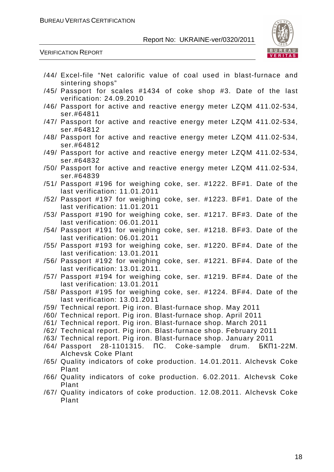

#### VERIFICATION REPORT

| /44/ Excel-file "Net calorific value of coal used in blast-furnace and |
|------------------------------------------------------------------------|
| sintering shops"                                                       |
| /45/ Passport for scales #1434 of coke shop #3. Date of the last       |
| verification: 24.09.2010                                               |
| /46/ Passport for active and reactive energy meter LZQM 411.02-534,    |
| ser.#64811                                                             |
| /47/ Passport for active and reactive energy meter LZQM 411.02-534,    |
| ser.#64812                                                             |
| /48/ Passport for active and reactive energy meter LZQM 411.02-534,    |
| ser.#64812                                                             |
| /49/ Passport for active and reactive energy meter LZQM 411.02-534,    |
| ser.#64832                                                             |
| /50/ Passport for active and reactive energy meter LZQM 411.02-534,    |
| ser.#64839                                                             |
| /51/ Passport #196 for weighing coke, ser. #1222. BF#1. Date of the    |
| last verification: 11.01.2011                                          |
| /52/ Passport #197 for weighing coke, ser. #1223. BF#1. Date of the    |
| last verification: 11.01.2011                                          |
| /53/ Passport #190 for weighing coke, ser. #1217. BF#3. Date of the    |
| last verification: 06.01.2011                                          |
| /54/ Passport #191 for weighing coke, ser. #1218. BF#3. Date of the    |
| last verification: 06.01.2011                                          |
| /55/ Passport #193 for weighing coke, ser. #1220. BF#4. Date of the    |
| last verification: 13.01.2011                                          |
| /56/ Passport #192 for weighing coke, ser. #1221. BF#4. Date of the    |
| last verification: 13.01.2011.                                         |
| /57/ Passport #194 for weighing coke, ser. #1219. BF#4. Date of the    |
| last verification: 13.01.2011                                          |
| /58/ Passport #195 for weighing coke, ser. #1224. BF#4. Date of the    |
| last verification: 13.01.2011                                          |
| /59/ Technical report. Pig iron. Blast-furnace shop. May 2011          |
| /60/ Technical report. Pig iron. Blast-furnace shop. April 2011        |
| /61/ Technical report. Pig iron. Blast-furnace shop. March 2011        |
| /62/ Technical report. Pig iron. Blast-furnace shop. February 2011     |
| /63/ Technical report. Pig iron. Blast-furnace shop. January 2011      |
| 28-1101315. NC. Coke-sample drum.<br>/64/ Passport<br>БКП1-22М.        |
| <b>Alchevsk Coke Plant</b>                                             |
| /65/ Quality indicators of coke production. 14.01.2011. Alchevsk Coke  |
| Plant                                                                  |
| /66/ Quality indicators of coke production. 6.02.2011. Alchevsk Coke   |
| Plant                                                                  |
|                                                                        |

/67/ Quality indicators of coke production. 12.08.2011. Alchevsk Coke Plant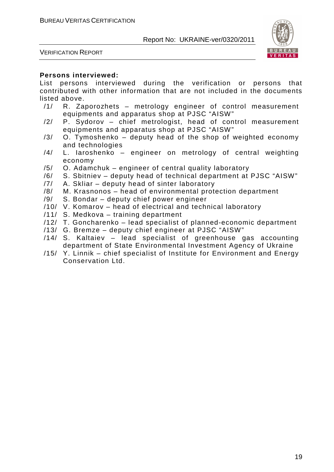



#### **Persons interviewed:**

List persons interviewed during the verification or persons that contributed with other information that are not included in the documents listed above.

- /1/ R. Zaporozhets metrology engineer of control measurement equipments and apparatus shop at PJSC "AISW"
- /2/ P. Sydorov chief metrologist, head of control measurement equipments and apparatus shop at PJSC "AISW"
- /3/ O. Tymoshenko deputy head of the shop of weighted economy and technologies
- /4/ L. Iaroshenko engineer on metrology of central weighting economy
- /5/ O. Adamchuk engineer of central quality laboratory
- /6/ S. Sbitniev deputy head of technical department at PJSC "AISW"
- /7/ A. Skliar deputy head of sinter laboratory
- /8/ M. Krasnonos head of environmental protection department
- /9/ S. Bondar deputy chief power engineer
- /10/ V. Komarov head of electrical and technical laboratory
- /11/ S. Medkova training department
- /12/ T. Goncharenko lead specialist of planned-economic department
- /13/ G. Bremze deputy chief engineer at PJSC "AISW"
- /14/ S. Kaltaiev lead specialist of greenhouse gas accounting department of State Environmental Investment Agency of Ukraine
- /15/ Y. Linnik chief specialist of Institute for Environment and Energy Conservation Ltd.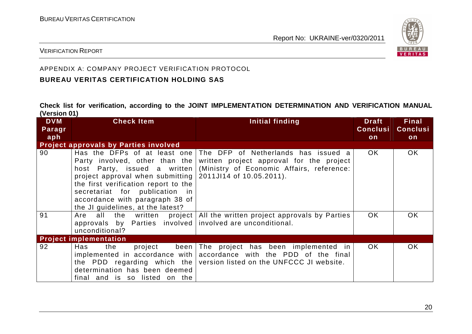

#### VERIFICATION REPORT

## APPENDIX A: COMPANY PROJECT VERIFICATION PROTOCOL

## **BUREAU VERITAS CERTIFICATION HOLDING SAS**

**Check list for verification, according to the JOINT IMPLEMENTATION DETERMINATION AND VERIFICATION MANUAL (Version 01)** 

| <b>DVM</b><br>Paragr | <b>Check Item</b>                                         | Initial finding                                                        | <b>Draft</b><br><b>Conclusi</b> | <b>Final</b><br><b>Conclusi</b> |
|----------------------|-----------------------------------------------------------|------------------------------------------------------------------------|---------------------------------|---------------------------------|
| aph                  |                                                           |                                                                        | on                              | on                              |
|                      | <b>Project approvals by Parties involved</b>              |                                                                        |                                 |                                 |
| 90                   | Has the DFPs of at least one                              | The DFP of Netherlands has issued a                                    | OK.                             | OK.                             |
|                      | Party involved, other than the                            | written project approval for the project                               |                                 |                                 |
|                      | host Party, issued a written                              | (Ministry of Economic Affairs, reference:                              |                                 |                                 |
|                      | project approval when submitting 2011JI14 of 10.05.2011). |                                                                        |                                 |                                 |
|                      | the first verification report to the                      |                                                                        |                                 |                                 |
|                      | secretariat for publication in                            |                                                                        |                                 |                                 |
|                      | accordance with paragraph 38 of                           |                                                                        |                                 |                                 |
|                      | the JI guidelines, at the latest?                         |                                                                        |                                 |                                 |
| 91                   | Are                                                       | all the written project   All the written project approvals by Parties | OK.                             | <b>OK</b>                       |
|                      | approvals by Parties involved involved are unconditional. |                                                                        |                                 |                                 |
|                      | unconditional?                                            |                                                                        |                                 |                                 |
|                      | <b>Project implementation</b>                             |                                                                        |                                 |                                 |
| 92                   | Has<br>been<br>the<br>project                             | The project has been implemented in                                    | OK.                             | OK                              |
|                      |                                                           | implemented in accordance with accordance with the PDD of the final    |                                 |                                 |
|                      |                                                           | the PDD regarding which the version listed on the UNFCCC JI website.   |                                 |                                 |
|                      | determination has been deemed                             |                                                                        |                                 |                                 |
|                      | final and is so listed on the                             |                                                                        |                                 |                                 |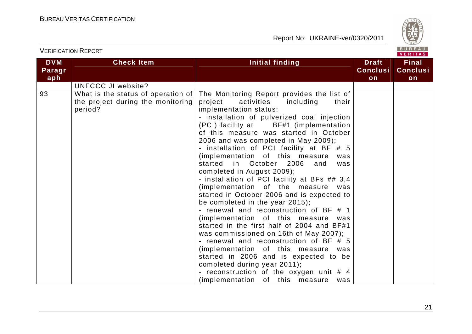

| <b>DVM</b><br>Paragr | <b>Check Item</b>                                                                  | Initial finding                                                                                                                                                                                                                                                                                                                                                                                                                                                                                                                                                                                                                                                                                                                                                                                                                                                                                                                                                       | <b>Draft</b><br><b>Conclusi</b> | 1.111779<br><b>Final</b><br><b>Conclusi</b> |
|----------------------|------------------------------------------------------------------------------------|-----------------------------------------------------------------------------------------------------------------------------------------------------------------------------------------------------------------------------------------------------------------------------------------------------------------------------------------------------------------------------------------------------------------------------------------------------------------------------------------------------------------------------------------------------------------------------------------------------------------------------------------------------------------------------------------------------------------------------------------------------------------------------------------------------------------------------------------------------------------------------------------------------------------------------------------------------------------------|---------------------------------|---------------------------------------------|
| aph                  |                                                                                    |                                                                                                                                                                                                                                                                                                                                                                                                                                                                                                                                                                                                                                                                                                                                                                                                                                                                                                                                                                       | on                              | on                                          |
|                      | UNFCCC JI website?                                                                 |                                                                                                                                                                                                                                                                                                                                                                                                                                                                                                                                                                                                                                                                                                                                                                                                                                                                                                                                                                       |                                 |                                             |
| 93                   | What is the status of operation of<br>the project during the monitoring<br>period? | The Monitoring Report provides the list of<br>project<br>activities<br>including<br>their<br>implementation status:<br>- installation of pulverized coal injection<br>(PCI) facility at BF#1 (implementation<br>of this measure was started in October<br>2006 and was completed in May 2009);<br>- installation of PCI facility at BF # 5<br>(implementation of this measure<br>was<br>started in October 2006<br>and<br>was<br>completed in August 2009);<br>- installation of PCI facility at BFs ## 3,4<br>(implementation of the measure was<br>started in October 2006 and is expected to<br>be completed in the year 2015);<br>- renewal and reconstruction of BF # 1<br>(implementation of this measure was<br>started in the first half of 2004 and BF#1<br>was commissioned on 16th of May 2007);<br>- renewal and reconstruction of BF # 5<br>(implementation of this measure was<br>started in 2006 and is expected to be<br>completed during year 2011); |                                 |                                             |
|                      |                                                                                    | - reconstruction of the oxygen unit # 4<br>(implementation of this<br>measure<br>was                                                                                                                                                                                                                                                                                                                                                                                                                                                                                                                                                                                                                                                                                                                                                                                                                                                                                  |                                 |                                             |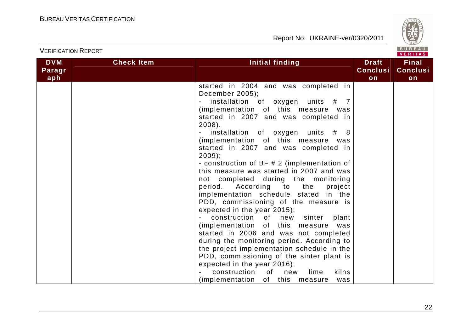

|            |                   |                                             |                 | 1.111172        |
|------------|-------------------|---------------------------------------------|-----------------|-----------------|
| <b>DVM</b> | <b>Check Item</b> | Initial finding                             | <b>Draft</b>    | <b>Final</b>    |
| Paragr     |                   |                                             | <b>Conclusi</b> | <b>Conclusi</b> |
| aph        |                   |                                             | on              | on              |
|            |                   | started in 2004 and was completed in        |                 |                 |
|            |                   | December 2005);                             |                 |                 |
|            |                   | # 7                                         |                 |                 |
|            |                   | installation of oxygen units                |                 |                 |
|            |                   | (implementation of this measure<br>was      |                 |                 |
|            |                   | started in 2007 and was completed in        |                 |                 |
|            |                   | $2008$ ).                                   |                 |                 |
|            |                   | installation of oxygen units # 8            |                 |                 |
|            |                   | (implementation of this measure<br>was      |                 |                 |
|            |                   | started in 2007 and was completed in        |                 |                 |
|            |                   | $2009$ ;                                    |                 |                 |
|            |                   | - construction of BF # 2 (implementation of |                 |                 |
|            |                   | this measure was started in 2007 and was    |                 |                 |
|            |                   | not completed during the monitoring         |                 |                 |
|            |                   | period. According to the<br>project         |                 |                 |
|            |                   | implementation schedule stated in the       |                 |                 |
|            |                   | PDD, commissioning of the measure is        |                 |                 |
|            |                   | expected in the year 2015);                 |                 |                 |
|            |                   | construction of<br>new<br>sinter<br>plant   |                 |                 |
|            |                   | (implementation of this measure<br>was      |                 |                 |
|            |                   | started in 2006 and was not completed       |                 |                 |
|            |                   | during the monitoring period. According to  |                 |                 |
|            |                   | the project implementation schedule in the  |                 |                 |
|            |                   | PDD, commissioning of the sinter plant is   |                 |                 |
|            |                   | expected in the year 2016);                 |                 |                 |
|            |                   | of<br>construction<br>kilns<br>new<br>lime  |                 |                 |
|            |                   | (implementation of this measure<br>was      |                 |                 |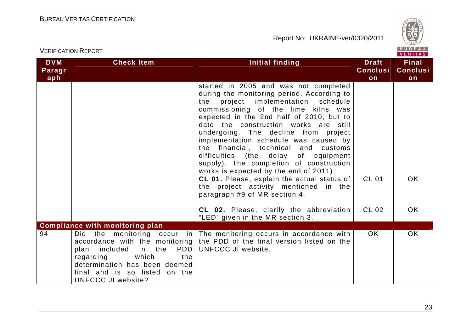

|                             | <b>VERIFICATION REPORT</b>                                                                                                                                                                                                          | BUREAU<br><b>VERITAS</b>                                                                                                                                                                                                                                                                                                                                                                                                                                                                                                                                                                                                                    |                                       |                                       |
|-----------------------------|-------------------------------------------------------------------------------------------------------------------------------------------------------------------------------------------------------------------------------------|---------------------------------------------------------------------------------------------------------------------------------------------------------------------------------------------------------------------------------------------------------------------------------------------------------------------------------------------------------------------------------------------------------------------------------------------------------------------------------------------------------------------------------------------------------------------------------------------------------------------------------------------|---------------------------------------|---------------------------------------|
| <b>DVM</b><br>Paragr<br>aph | <b>Check Item</b>                                                                                                                                                                                                                   | <b>Initial finding</b>                                                                                                                                                                                                                                                                                                                                                                                                                                                                                                                                                                                                                      | <b>Draft</b><br><b>Conclusi</b><br>on | <b>Final</b><br><b>Conclusi</b><br>on |
|                             |                                                                                                                                                                                                                                     | started in 2005 and was not completed<br>during the monitoring period. According to<br>project implementation schedule<br>the<br>commissioning of the lime kilns was<br>expected in the 2nd half of 2010, but to<br>date the construction works are still<br>undergoing. The decline from project<br>implementation schedule was caused by<br>the financial, technical and<br>customs<br>difficulties (the delay of equipment<br>supply). The completion of construction<br>works is expected by the end of 2011).<br>CL 01. Please, explain the actual status of<br>the project activity mentioned in the<br>paragraph #9 of MR section 4. | <b>CL 01</b>                          | OK.                                   |
|                             |                                                                                                                                                                                                                                     | CL 02. Please, clarify the abbreviation<br>"LED" given in the MR section 3.                                                                                                                                                                                                                                                                                                                                                                                                                                                                                                                                                                 | CL 02                                 | OK.                                   |
|                             | <b>Compliance with monitoring plan</b>                                                                                                                                                                                              |                                                                                                                                                                                                                                                                                                                                                                                                                                                                                                                                                                                                                                             |                                       |                                       |
| 94                          | Did the monitoring occur<br>in l<br>accordance with the monitoring<br>PDD<br>plan<br>included in<br>the<br>which<br>regarding<br>the<br>determination has been deemed<br>final and is so listed on the<br><b>UNFCCC JI website?</b> | The monitoring occurs in accordance with<br>the PDD of the final version listed on the<br>UNFCCC JI website.                                                                                                                                                                                                                                                                                                                                                                                                                                                                                                                                | OK.                                   | <b>OK</b>                             |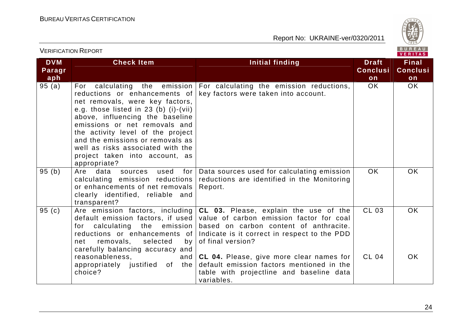

| <b>VERIFICATION REPORT</b>  |                                                                                                                                                                                                                                                                                                                                                                                       |                                                                                                                                                                                                  |                                       | BUREAU<br>VERITAS                     |
|-----------------------------|---------------------------------------------------------------------------------------------------------------------------------------------------------------------------------------------------------------------------------------------------------------------------------------------------------------------------------------------------------------------------------------|--------------------------------------------------------------------------------------------------------------------------------------------------------------------------------------------------|---------------------------------------|---------------------------------------|
| <b>DVM</b><br>Paragr<br>aph | <b>Check Item</b>                                                                                                                                                                                                                                                                                                                                                                     | <b>Initial finding</b>                                                                                                                                                                           | <b>Draft</b><br><b>Conclusi</b><br>on | <b>Final</b><br><b>Conclusi</b><br>on |
| 95(a)                       | the emission<br>For<br>calculating<br>reductions or enhancements of<br>net removals, were key factors,<br>e.g. those listed in $23$ (b) (i)-(vii)<br>above, influencing the baseline<br>emissions or net removals and<br>the activity level of the project<br>and the emissions or removals as<br>well as risks associated with the<br>project taken into account, as<br>appropriate? | For calculating the emission reductions,<br>key factors were taken into account.                                                                                                                 | OK.                                   | <b>OK</b>                             |
| 95(b)                       | Are data sources<br>used<br>for I<br>calculating emission reductions<br>or enhancements of net removals<br>clearly identified, reliable and<br>transparent?                                                                                                                                                                                                                           | Data sources used for calculating emission<br>reductions are identified in the Monitoring<br>Report.                                                                                             | OK                                    | <b>OK</b>                             |
| 95(c)                       | Are emission factors, including<br>default emission factors, if used<br>for calculating the emission<br>reductions or enhancements of<br>removals,<br>selected<br>net<br>by l<br>carefully balancing accuracy and                                                                                                                                                                     | CL 03. Please, explain the use of the<br>value of carbon emission factor for coal<br>based on carbon content of anthracite.<br>Indicate is it correct in respect to the PDD<br>of final version? | <b>CL 03</b>                          | <b>OK</b>                             |
|                             | reasonableness,<br>and<br>appropriately justified of the<br>choice?                                                                                                                                                                                                                                                                                                                   | CL 04. Please, give more clear names for<br>default emission factors mentioned in the<br>table with projectline and baseline data<br>variables.                                                  | <b>CL 04</b>                          | <b>OK</b>                             |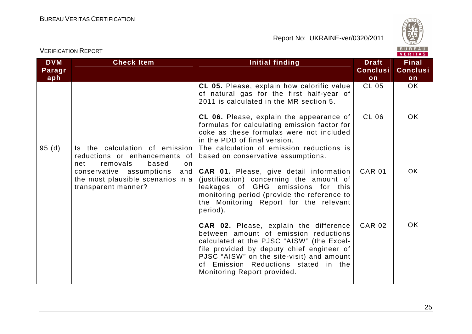

| <b>VERIFICATION REPORT</b>  |                                                                                                                               |                                                                                                                                                                                                                                                                                                      |                                       | BUREAU<br><b>VERITAS</b>              |
|-----------------------------|-------------------------------------------------------------------------------------------------------------------------------|------------------------------------------------------------------------------------------------------------------------------------------------------------------------------------------------------------------------------------------------------------------------------------------------------|---------------------------------------|---------------------------------------|
| <b>DVM</b><br>Paragr<br>aph | <b>Check Item</b>                                                                                                             | <b>Initial finding</b>                                                                                                                                                                                                                                                                               | <b>Draft</b><br><b>Conclusi</b><br>on | <b>Final</b><br><b>Conclusi</b><br>on |
|                             |                                                                                                                               | CL 05. Please, explain how calorific value<br>of natural gas for the first half-year of<br>2011 is calculated in the MR section 5.                                                                                                                                                                   | <b>CL 05</b>                          | <b>OK</b>                             |
|                             |                                                                                                                               | CL 06. Please, explain the appearance of<br>formulas for calculating emission factor for<br>coke as these formulas were not included<br>in the PDD of final version.                                                                                                                                 | <b>CL 06</b>                          | <b>OK</b>                             |
| 95(d)                       | Is the calculation of emission<br>reductions or enhancements of<br>removals<br>based<br>net<br>on<br>conservative assumptions | The calculation of emission reductions is<br>based on conservative assumptions.<br>and <b>CAR 01.</b> Please, give detail information                                                                                                                                                                | <b>CAR 01</b>                         | <b>OK</b>                             |
|                             | the most plausible scenarios in a<br>transparent manner?                                                                      | (justification) concerning the amount of<br>leakages of GHG emissions for this<br>monitoring period (provide the reference to<br>the Monitoring Report for the relevant<br>period).                                                                                                                  |                                       |                                       |
|                             |                                                                                                                               | <b>CAR 02.</b> Please, explain the difference<br>between amount of emission reductions<br>calculated at the PJSC "AISW" (the Excel-<br>file provided by deputy chief engineer of<br>PJSC "AISW" on the site-visit) and amount<br>of Emission Reductions stated in the<br>Monitoring Report provided. | <b>CAR 02</b>                         | <b>OK</b>                             |

25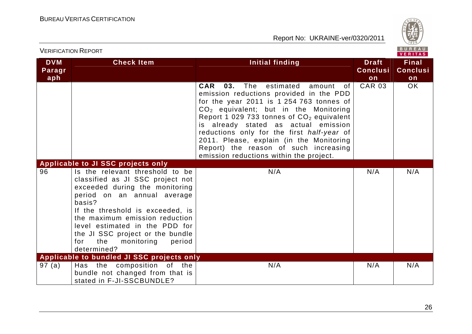

| <b>VERIFICATION REPORT</b>  |                                                                                                                                                                                                                                                                                                                                                 |                                                                                                                                                                                                                                                                                                                                                                                                                                                                     |                                       | BUREAU<br>VERITAS                     |
|-----------------------------|-------------------------------------------------------------------------------------------------------------------------------------------------------------------------------------------------------------------------------------------------------------------------------------------------------------------------------------------------|---------------------------------------------------------------------------------------------------------------------------------------------------------------------------------------------------------------------------------------------------------------------------------------------------------------------------------------------------------------------------------------------------------------------------------------------------------------------|---------------------------------------|---------------------------------------|
| <b>DVM</b><br>Paragr<br>aph | <b>Check Item</b>                                                                                                                                                                                                                                                                                                                               | <b>Initial finding</b>                                                                                                                                                                                                                                                                                                                                                                                                                                              | <b>Draft</b><br><b>Conclusi</b><br>on | <b>Final</b><br><b>Conclusi</b><br>on |
|                             |                                                                                                                                                                                                                                                                                                                                                 | The<br>estimated<br><b>CAR</b><br>03.<br>amount of<br>emission reductions provided in the PDD<br>for the year 2011 is 1 254 763 tonnes of<br>$CO2$ equivalent; but in the Monitoring<br>Report 1 029 733 tonnes of CO <sub>2</sub> equivalent<br>is already stated as actual emission<br>reductions only for the first half-year of<br>2011. Please, explain (in the Monitoring<br>Report) the reason of such increasing<br>emission reductions within the project. | <b>CAR 03</b>                         | <b>OK</b>                             |
|                             | Applicable to JI SSC projects only                                                                                                                                                                                                                                                                                                              |                                                                                                                                                                                                                                                                                                                                                                                                                                                                     |                                       |                                       |
| 96                          | Is the relevant threshold to be<br>classified as JI SSC project not<br>exceeded during the monitoring<br>period on an annual average<br>basis?<br>If the threshold is exceeded, is<br>the maximum emission reduction<br>level estimated in the PDD for<br>the JI SSC project or the bundle<br>the<br>for<br>monitoring<br>period<br>determined? | N/A                                                                                                                                                                                                                                                                                                                                                                                                                                                                 | N/A                                   | N/A                                   |
|                             | Applicable to bundled JI SSC projects only                                                                                                                                                                                                                                                                                                      |                                                                                                                                                                                                                                                                                                                                                                                                                                                                     |                                       |                                       |
| 97(a)                       | Has the composition of the<br>bundle not changed from that is<br>stated in F-JI-SSCBUNDLE?                                                                                                                                                                                                                                                      | N/A                                                                                                                                                                                                                                                                                                                                                                                                                                                                 | N/A                                   | N/A                                   |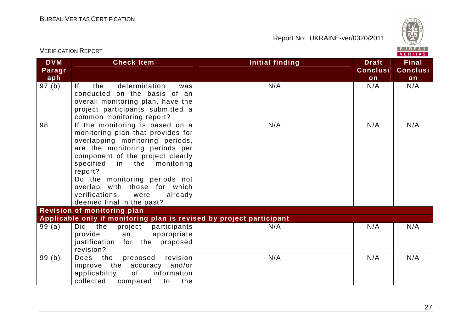

| <b>VERIFICATION REPORT</b>  |                                                                                                                                                                                                                                                                                                                                                              |                        |                                       | BUREAU<br>VERITAS                     |
|-----------------------------|--------------------------------------------------------------------------------------------------------------------------------------------------------------------------------------------------------------------------------------------------------------------------------------------------------------------------------------------------------------|------------------------|---------------------------------------|---------------------------------------|
| <b>DVM</b><br>Paragr<br>aph | <b>Check Item</b>                                                                                                                                                                                                                                                                                                                                            | <b>Initial finding</b> | <b>Draft</b><br><b>Conclusi</b><br>on | <b>Final</b><br><b>Conclusi</b><br>on |
| 97(b)                       | determination<br> f <br>the<br>was<br>conducted on the basis of an<br>overall monitoring plan, have the<br>project participants submitted a<br>common monitoring report?                                                                                                                                                                                     | N/A                    | N/A                                   | N/A                                   |
| 98                          | If the monitoring is based on a<br>monitoring plan that provides for<br>overlapping monitoring periods,<br>are the monitoring periods per<br>component of the project clearly<br>specified<br>in the monitoring<br>report?<br>Do the monitoring periods not<br>overlap with those for which<br>verifications<br>already<br>were<br>deemed final in the past? | N/A                    | N/A                                   | N/A                                   |
|                             | <b>Revision of monitoring plan</b><br>Applicable only if monitoring plan is revised by project participant                                                                                                                                                                                                                                                   |                        |                                       |                                       |
| 99(a)                       | Did the<br>project<br>participants                                                                                                                                                                                                                                                                                                                           | N/A                    | N/A                                   | N/A                                   |
|                             | appropriate<br>provide<br>an<br>justification<br>proposed<br>for the<br>revision?                                                                                                                                                                                                                                                                            |                        |                                       |                                       |
| 99(b)                       | revision<br>Does<br>the<br>proposed<br>improve the accuracy and/or<br>applicability<br>of<br>information<br>collected<br>the<br>compared<br>to                                                                                                                                                                                                               | N/A                    | N/A                                   | N/A                                   |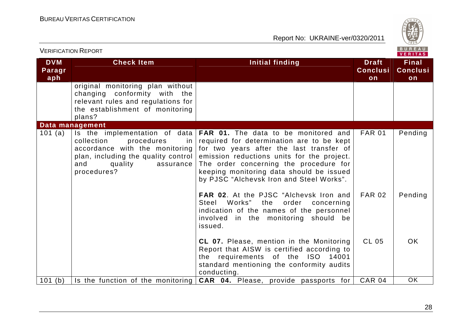

| <b>VERIFICATION REPORT</b>  |                                                                                                                                                                                       |                                                                                                                                                                                                                                                                                                                                                                                         |                                       |                                       |
|-----------------------------|---------------------------------------------------------------------------------------------------------------------------------------------------------------------------------------|-----------------------------------------------------------------------------------------------------------------------------------------------------------------------------------------------------------------------------------------------------------------------------------------------------------------------------------------------------------------------------------------|---------------------------------------|---------------------------------------|
| <b>DVM</b><br>Paragr<br>aph | <b>Check Item</b>                                                                                                                                                                     | Initial finding                                                                                                                                                                                                                                                                                                                                                                         | <b>Draft</b><br><b>Conclusi</b><br>on | <b>Final</b><br><b>Conclusi</b><br>on |
|                             | original monitoring plan without<br>changing conformity with the<br>relevant rules and regulations for<br>the establishment of monitoring<br>plans?                                   |                                                                                                                                                                                                                                                                                                                                                                                         |                                       |                                       |
| 101 (a)                     | Data management<br>collection<br>procedures<br>$\mathsf{in}$<br>accordance with the monitoring<br>plan, including the quality control  <br>quality<br>and<br>assurance<br>procedures? | Is the implementation of data $FAR$ 01. The data to be monitored and<br>required for determination are to be kept<br>for two years after the last transfer of<br>emission reductions units for the project.<br>The order concerning the procedure for<br>keeping monitoring data should be issued<br>by PJSC "Alchevsk Iron and Steel Works".<br>FAR 02. At the PJSC "Alchevsk Iron and | <b>FAR 01</b><br><b>FAR 02</b>        | Pending<br>Pending                    |
|                             |                                                                                                                                                                                       | Steel Works" the order concerning<br>indication of the names of the personnel<br>involved in the monitoring should be<br>issued.                                                                                                                                                                                                                                                        |                                       |                                       |
|                             |                                                                                                                                                                                       | CL 07. Please, mention in the Monitoring<br>Report that AISW is certified according to<br>the requirements of the ISO 14001<br>standard mentioning the conformity audits<br>conducting.                                                                                                                                                                                                 | <b>CL 05</b>                          | OK.                                   |
| 101(b)                      | Is the function of the monitoring                                                                                                                                                     | CAR 04. Please, provide passports for                                                                                                                                                                                                                                                                                                                                                   | <b>CAR 04</b>                         | <b>OK</b>                             |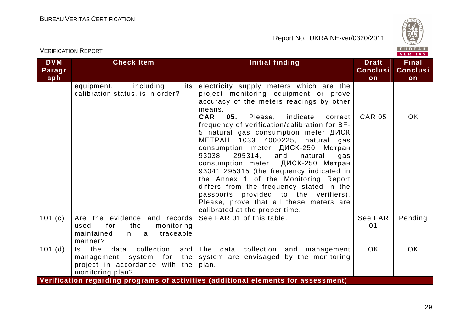

|                             | <b>VERIFICATION REPORT</b>                                                                                                    |                                                                                                                                                                                                                                                                                                                                                                                                                                                                                                                                                                                                                                                                                                  |                                       | BUREAU<br><b>VERITAS</b>              |
|-----------------------------|-------------------------------------------------------------------------------------------------------------------------------|--------------------------------------------------------------------------------------------------------------------------------------------------------------------------------------------------------------------------------------------------------------------------------------------------------------------------------------------------------------------------------------------------------------------------------------------------------------------------------------------------------------------------------------------------------------------------------------------------------------------------------------------------------------------------------------------------|---------------------------------------|---------------------------------------|
| <b>DVM</b><br>Paragr<br>aph | <b>Check Item</b>                                                                                                             | <b>Initial finding</b>                                                                                                                                                                                                                                                                                                                                                                                                                                                                                                                                                                                                                                                                           | <b>Draft</b><br><b>Conclusi</b><br>on | <b>Final</b><br><b>Conclusi</b><br>on |
|                             | including<br>equipment,<br>its<br>calibration status, is in order?                                                            | electricity supply meters which are the<br>project monitoring equipment or prove<br>accuracy of the meters readings by other<br>means.<br>CAR<br>05.<br>indicate<br>Please,<br>correct<br>frequency of verification/calibration for BF-<br>5 natural gas consumption meter ДИСК<br>METPAH 1033 4000225, natural gas<br>consumption meter ДИСК-250 Метран<br>93038<br>295314,<br>and<br>natural<br>gas<br>consumption meter ДИСК-250 Метран<br>93041 295315 (the frequency indicated in<br>the Annex 1 of the Monitoring Report<br>differs from the frequency stated in the<br>passports provided to the verifiers).<br>Please, prove that all these meters are<br>calibrated at the proper time. | <b>CAR 05</b>                         | <b>OK</b>                             |
| 101(c)                      | Are the evidence and records<br>used<br>for<br>the<br>monitoring<br>traceable<br>maintained<br>in.<br>a a<br>manner?          | See FAR 01 of this table.                                                                                                                                                                                                                                                                                                                                                                                                                                                                                                                                                                                                                                                                        | See FAR<br>01                         | Pending                               |
| $101$ (d)                   | collection<br>the<br>data<br>and<br>Is.<br>the<br>management system for<br>project in accordance with the<br>monitoring plan? | The data collection and<br>management<br>system are envisaged by the monitoring<br>plan.                                                                                                                                                                                                                                                                                                                                                                                                                                                                                                                                                                                                         | <b>OK</b>                             | OK                                    |
|                             |                                                                                                                               | Verification regarding programs of activities (additional elements for assessment)                                                                                                                                                                                                                                                                                                                                                                                                                                                                                                                                                                                                               |                                       |                                       |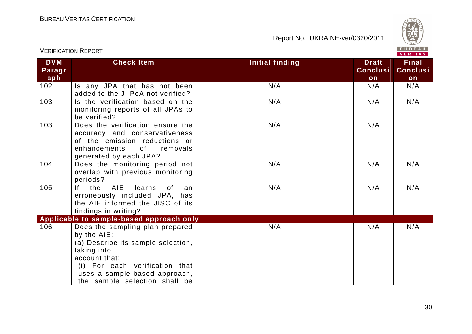

|                             | <b>VERIFICATION REPORT</b>                                                                                                                                                                                               |                        |                                       | BUREAU<br><b>VERITAS</b>              |
|-----------------------------|--------------------------------------------------------------------------------------------------------------------------------------------------------------------------------------------------------------------------|------------------------|---------------------------------------|---------------------------------------|
| <b>DVM</b><br>Paragr<br>aph | <b>Check Item</b>                                                                                                                                                                                                        | <b>Initial finding</b> | <b>Draft</b><br><b>Conclusi</b><br>on | <b>Final</b><br><b>Conclusi</b><br>on |
| 102                         | Is any JPA that has not been<br>added to the JI PoA not verified?                                                                                                                                                        | N/A                    | N/A                                   | N/A                                   |
| 103                         | Is the verification based on the<br>monitoring reports of all JPAs to<br>be verified?                                                                                                                                    | N/A                    | N/A                                   | N/A                                   |
| 103                         | Does the verification ensure the<br>accuracy and conservativeness<br>of the emission reductions or<br>0f<br>enhancements<br>removals<br>generated by each JPA?                                                           | N/A                    | N/A                                   |                                       |
| 104                         | Does the monitoring period not<br>overlap with previous monitoring<br>periods?                                                                                                                                           | N/A                    | N/A                                   | N/A                                   |
| 105                         | f <br><b>AIE</b><br>the<br>learns<br>of<br>an<br>erroneously included JPA, has<br>the AIE informed the JISC of its<br>findings in writing?                                                                               | N/A                    | N/A                                   | N/A                                   |
|                             | Applicable to sample-based approach only                                                                                                                                                                                 |                        |                                       |                                       |
| 106                         | Does the sampling plan prepared<br>by the AIE:<br>(a) Describe its sample selection,<br>taking into<br>account that:<br>(i) For each verification that<br>uses a sample-based approach,<br>the sample selection shall be | N/A                    | N/A                                   | N/A                                   |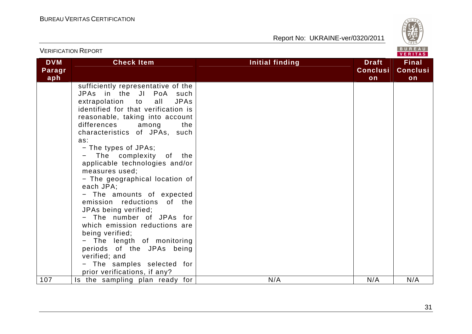

| <b>VERIFICATION REPORT</b>  |                                                                                                                                                                                                                                                                                                                                                                                                                                                                                                                                                                                                                                                                                                                           |                        |                                       | BUREAU<br><b>VERITAS</b>              |
|-----------------------------|---------------------------------------------------------------------------------------------------------------------------------------------------------------------------------------------------------------------------------------------------------------------------------------------------------------------------------------------------------------------------------------------------------------------------------------------------------------------------------------------------------------------------------------------------------------------------------------------------------------------------------------------------------------------------------------------------------------------------|------------------------|---------------------------------------|---------------------------------------|
| <b>DVM</b><br>Paragr<br>aph | <b>Check Item</b>                                                                                                                                                                                                                                                                                                                                                                                                                                                                                                                                                                                                                                                                                                         | <b>Initial finding</b> | <b>Draft</b><br><b>Conclusi</b><br>on | <b>Final</b><br><b>Conclusi</b><br>on |
|                             | sufficiently representative of the<br>JPAs in the JI PoA such<br>extrapolation to<br><b>JPAs</b><br>all<br>identified for that verification is<br>reasonable, taking into account<br>differences<br>among<br>the<br>characteristics of JPAs, such<br>as:<br>- The types of JPAs;<br>The complexity of the<br>applicable technologies and/or<br>measures used;<br>- The geographical location of<br>each JPA;<br>- The amounts of expected<br>emission reductions of the<br>JPAs being verified;<br>- The number of JPAs for<br>which emission reductions are<br>being verified;<br>- The length of monitoring<br>periods of the JPAs being<br>verified; and<br>- The samples selected for<br>prior verifications, if any? |                        |                                       |                                       |
| 107                         | Is the sampling plan ready for                                                                                                                                                                                                                                                                                                                                                                                                                                                                                                                                                                                                                                                                                            | N/A                    | N/A                                   | N/A                                   |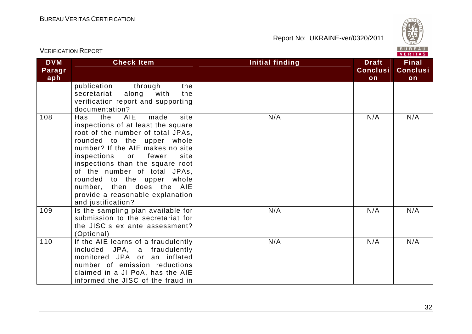

| <b>VERIFICATION REPORT</b>  |                                                                                                                                                                                                                                                                                                                                                                                                                |                        |                                       | BUREAU<br>VERITAS                     |
|-----------------------------|----------------------------------------------------------------------------------------------------------------------------------------------------------------------------------------------------------------------------------------------------------------------------------------------------------------------------------------------------------------------------------------------------------------|------------------------|---------------------------------------|---------------------------------------|
| <b>DVM</b><br>Paragr<br>aph | <b>Check Item</b>                                                                                                                                                                                                                                                                                                                                                                                              | <b>Initial finding</b> | <b>Draft</b><br><b>Conclusi</b><br>on | <b>Final</b><br><b>Conclusi</b><br>on |
|                             | publication<br>the<br>through<br>the<br>along<br>secretariat<br>with<br>verification report and supporting<br>documentation?                                                                                                                                                                                                                                                                                   |                        |                                       |                                       |
| 108                         | the<br><b>AIE</b><br>made<br>site<br>Has<br>inspections of at least the square<br>root of the number of total JPAs,<br>rounded to the upper whole<br>number? If the AIE makes no site<br>inspections or fewer<br>site<br>inspections than the square root<br>of the number of total JPAs,<br>rounded to the upper whole<br>number, then does the AIE<br>provide a reasonable explanation<br>and justification? | N/A                    | N/A                                   | N/A                                   |
| 109                         | Is the sampling plan available for<br>submission to the secretariat for<br>the JISC.s ex ante assessment?<br>(Optional)                                                                                                                                                                                                                                                                                        | N/A                    | N/A                                   | N/A                                   |
| 110                         | If the AIE learns of a fraudulently<br>included JPA, a fraudulently<br>monitored JPA or an inflated<br>number of emission reductions<br>claimed in a JI PoA, has the AIE<br>informed the JISC of the fraud in                                                                                                                                                                                                  | N/A                    | N/A                                   | N/A                                   |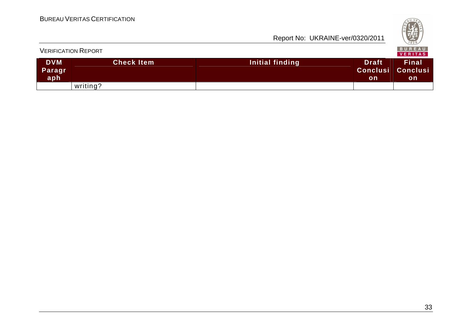|                             | <b>VERIFICATION REPORT</b> |                 |                                                | B U K E A U  <br><b>VERITAS</b> |
|-----------------------------|----------------------------|-----------------|------------------------------------------------|---------------------------------|
| <b>DVM</b><br>Paragr<br>aph | <b>Check Item</b>          | Initial finding | <b>Draft</b><br><b>Conclusi Conclusi</b><br>on | <b>Final</b><br>on              |
|                             | writing?                   |                 |                                                |                                 |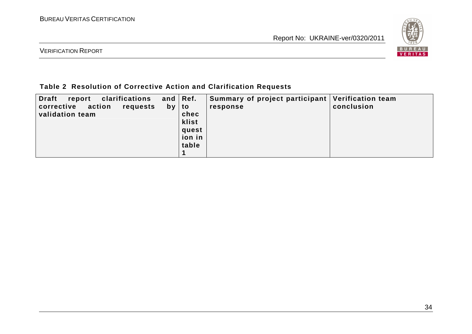

VERIFICATION REPORT

### **Table 2 Resolution of Corrective Action and Clarification Requests**

| <b>Draft</b><br>clarifications<br>report<br>action<br>corrective<br>requests<br>validation team | and $\vert$ Ref.<br>$by$   to<br>chec<br>klist<br>quest<br>  ion in<br>table | Summary of project participant   Verification team<br>response | conclusion |
|-------------------------------------------------------------------------------------------------|------------------------------------------------------------------------------|----------------------------------------------------------------|------------|
|                                                                                                 |                                                                              |                                                                |            |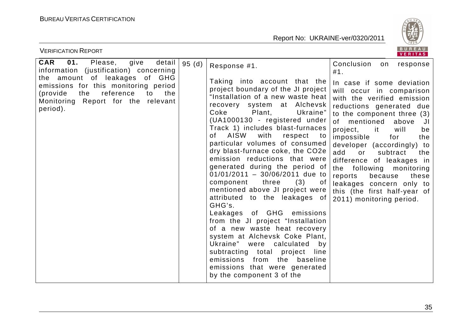

| <b>VERIFICATION REPORT</b>                                                                                                                                            |       |                                                                                                                                                                                                                                                                                                                                                                                                                                                                                                                                                                                                                                                                                                                                                                                                                                                                                               | <b>BUREAU</b><br><b>VERITAS</b>                                                                                                                                                                                                                                                                                                                                                                                                                                                              |
|-----------------------------------------------------------------------------------------------------------------------------------------------------------------------|-------|-----------------------------------------------------------------------------------------------------------------------------------------------------------------------------------------------------------------------------------------------------------------------------------------------------------------------------------------------------------------------------------------------------------------------------------------------------------------------------------------------------------------------------------------------------------------------------------------------------------------------------------------------------------------------------------------------------------------------------------------------------------------------------------------------------------------------------------------------------------------------------------------------|----------------------------------------------------------------------------------------------------------------------------------------------------------------------------------------------------------------------------------------------------------------------------------------------------------------------------------------------------------------------------------------------------------------------------------------------------------------------------------------------|
| 01.<br><b>CAR</b><br>Please,<br>give<br>detail  <br>information (justification) concerning                                                                            | 95(d) | Response #1.                                                                                                                                                                                                                                                                                                                                                                                                                                                                                                                                                                                                                                                                                                                                                                                                                                                                                  | Conclusion<br>response<br>on<br>#1.                                                                                                                                                                                                                                                                                                                                                                                                                                                          |
| the amount of leakages of GHG<br>emissions for this monitoring period<br>reference<br>(provide)<br>the<br>the<br>to<br>Monitoring Report for the relevant<br>period). |       | Taking into account that the<br>project boundary of the JI project<br>"Installation of a new waste heat<br>system at Alchevsk<br>recovery<br>Coke<br>Plant,<br>Ukraine"<br>(UA1000130 - registered under<br>Track 1) includes blast-furnaces<br>AISW<br>with<br>of<br>respect<br>to:<br>particular volumes of consumed<br>dry blast-furnace coke, the CO2e<br>emission reductions that were<br>generated during the period of<br>$01/01/2011 - 30/06/2011$ due to<br>component<br>three<br>(3)<br>of<br>mentioned above JI project were<br>attributed to the leakages of<br>GHG's.<br>Leakages of GHG emissions<br>from the JI project "Installation<br>of a new waste heat recovery<br>system at Alchevsk Coke Plant,<br>Ukraine" were calculated<br>by<br>subtracting total project<br>line<br>from the baseline<br>emissions<br>emissions that were generated<br>by the component 3 of the | In case if some deviation<br>will occur in comparison<br>with the verified emission<br>reductions generated due<br>to the component three (3)<br>mentioned<br>of<br>above<br>JI<br>project,<br>will<br>it it<br>be<br>impossible<br>for<br>the<br>developer (accordingly) to<br>add<br>subtract<br>or<br>the<br>difference of leakages in<br>the following monitoring<br>reports<br>because<br>these<br>leakages concern only to<br>this (the first half-year of<br>2011) monitoring period. |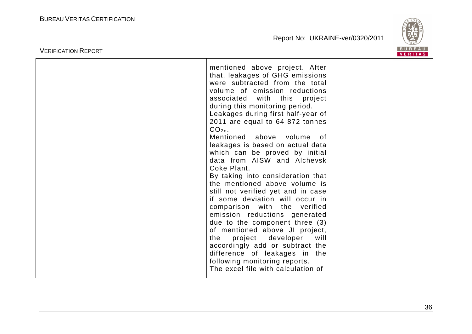

| <b>VERIFICATION REPORT</b> |                                                                                                                                                                                                                                                                                                                                                                                                                                                                                                                                                                                                                                                                                                                                                                                                                                                                                                                             | <b>BUREAU</b><br><b>VERITAS</b> |
|----------------------------|-----------------------------------------------------------------------------------------------------------------------------------------------------------------------------------------------------------------------------------------------------------------------------------------------------------------------------------------------------------------------------------------------------------------------------------------------------------------------------------------------------------------------------------------------------------------------------------------------------------------------------------------------------------------------------------------------------------------------------------------------------------------------------------------------------------------------------------------------------------------------------------------------------------------------------|---------------------------------|
|                            | mentioned above project. After<br>that, leakages of GHG emissions<br>were subtracted from the total<br>volume of emission reductions<br>associated<br>with this project<br>during this monitoring period.<br>Leakages during first half-year of<br>2011 are equal to 64 872 tonnes<br>$CO2e$ .<br>Mentioned<br>above volume<br>0f<br>leakages is based on actual data<br>which can be proved by initial<br>data from AISW and Alchevsk<br>Coke Plant.<br>By taking into consideration that<br>the mentioned above volume is<br>still not verified yet and in case<br>if some deviation will occur in<br>comparison with the verified<br>emission reductions generated<br>due to the component three (3)<br>of mentioned above JI project,<br>developer<br>the<br>project<br>will<br>accordingly add or subtract the<br>difference of leakages in the<br>following monitoring reports.<br>The excel file with calculation of |                                 |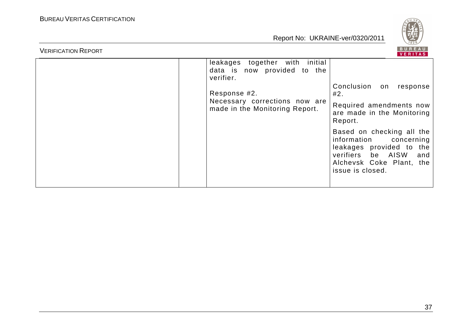

| verifier.<br>Response #2. | leakages together with initial<br>data is now provided to the<br>Conclusion on<br>response<br>#2.<br>Necessary corrections now are<br>Required amendments now<br>made in the Monitoring Report.<br>are made in the Monitoring<br>Report.<br>Based on checking all the<br>information<br>concerning<br>leakages provided to the<br>verifiers be AISW<br>Alchevsk Coke Plant, the<br>issue is closed. | and |
|---------------------------|-----------------------------------------------------------------------------------------------------------------------------------------------------------------------------------------------------------------------------------------------------------------------------------------------------------------------------------------------------------------------------------------------------|-----|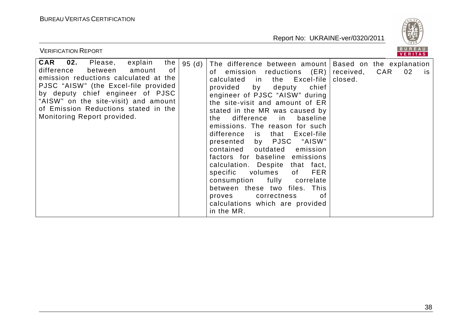

| <b>VERIFICATION REPORT</b>                                                                                                                                                                                                                                                                                                      |       |                                                                                                                                                                                                                                                                                                                                                                                                                                                                                                                                                                                                                                                                                                                |                      | BUREAU<br>VERITAS                                  |  |
|---------------------------------------------------------------------------------------------------------------------------------------------------------------------------------------------------------------------------------------------------------------------------------------------------------------------------------|-------|----------------------------------------------------------------------------------------------------------------------------------------------------------------------------------------------------------------------------------------------------------------------------------------------------------------------------------------------------------------------------------------------------------------------------------------------------------------------------------------------------------------------------------------------------------------------------------------------------------------------------------------------------------------------------------------------------------------|----------------------|----------------------------------------------------|--|
| $\mathbf{02.}$<br>explain<br>CAR<br>Please,<br>the<br>of<br>difference<br>between<br>amount<br>emission reductions calculated at the<br>PJSC "AISW" (the Excel-file provided<br>by deputy chief engineer of PJSC<br>"AISW" on the site-visit) and amount<br>of Emission Reductions stated in the<br>Monitoring Report provided. | 95(d) | The difference between amount<br>reductions (ER)<br>of emission<br>the Excel-file<br>calculated<br>in in<br>provided<br>by<br>chief<br>deputy<br>engineer of PJSC "AISW" during<br>the site-visit and amount of ER<br>stated in the MR was caused by<br>difference<br>baseline<br>the<br>in<br>emissions. The reason for such<br>difference<br>that Excel-file<br>is<br>presented by PJSC<br>"AISW"<br>contained outdated<br>emission<br>factors for baseline emissions<br>calculation. Despite<br>that fact,<br>volumes<br><b>FER</b><br>specific<br>of<br>consumption<br>fully<br>correlate<br>between these two files. This<br>correctness<br>proves<br>οf<br>calculations which are provided<br>in the MR. | received,<br>closed. | Based on the explanation<br>CAR<br>02<br><b>IS</b> |  |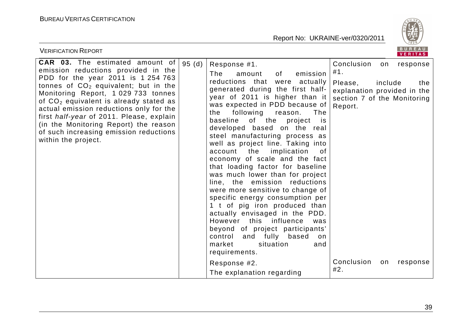

| <b>VERIFICATION REPORT</b>                                                                                                                                                                                                                                                                                                                                                                                                                                  |       |                                                                                                                                                                                                                                                                                                                                                                                                                                                                                                                                                                                                                                                                                                                                                                                                                                                                                                                     | BUREAU<br><b>VERITAS</b>                                                                                                                                                         |
|-------------------------------------------------------------------------------------------------------------------------------------------------------------------------------------------------------------------------------------------------------------------------------------------------------------------------------------------------------------------------------------------------------------------------------------------------------------|-------|---------------------------------------------------------------------------------------------------------------------------------------------------------------------------------------------------------------------------------------------------------------------------------------------------------------------------------------------------------------------------------------------------------------------------------------------------------------------------------------------------------------------------------------------------------------------------------------------------------------------------------------------------------------------------------------------------------------------------------------------------------------------------------------------------------------------------------------------------------------------------------------------------------------------|----------------------------------------------------------------------------------------------------------------------------------------------------------------------------------|
| <b>CAR 03.</b> The estimated amount of<br>emission reductions provided in the<br>PDD for the year 2011 is 1 254 763<br>tonnes of $CO2$ equivalent; but in the<br>Monitoring Report, 1 029 733 tonnes<br>of CO <sub>2</sub> equivalent is already stated as<br>actual emission reductions only for the<br>first half-year of 2011. Please, explain<br>(in the Monitoring Report) the reason<br>of such increasing emission reductions<br>within the project. | 95(d) | Response #1.<br>The<br>of<br>emission<br>amount<br>that<br>reductions<br>were actually<br>generated during the first half-<br>year of 2011 is higher than it<br>was expected in PDD because of<br>following<br>the<br>reason.<br>The<br>of the<br>baseline<br>project<br><b>is</b><br>developed based on the real<br>steel manufacturing process as<br>well as project line. Taking into<br>the<br>implication<br>account<br>0f<br>economy of scale and the fact<br>that loading factor for baseline<br>was much lower than for project<br>line, the emission reductions<br>were more sensitive to change of<br>specific energy consumption per<br>1 t of pig iron produced than<br>actually envisaged in the PDD.<br>However this influence<br>was<br>beyond of project participants'<br>control and fully based<br>on<br>market<br>situation<br>and<br>requirements.<br>Response #2.<br>The explanation regarding | Conclusion<br>response<br>on<br>#1.<br>Please,<br>include<br>the<br>explanation provided in the<br>section 7 of the Monitoring<br>Report.<br>Conclusion<br>response<br>on<br>#2. |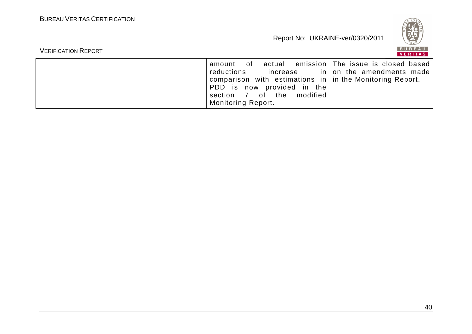

| <b>VERIFICATION REPORT</b> |                                                                                                                                                                                                              | BUREAU<br>VERITAS                                                     |
|----------------------------|--------------------------------------------------------------------------------------------------------------------------------------------------------------------------------------------------------------|-----------------------------------------------------------------------|
|                            | actual<br>amount of<br>reductions<br>increase<br>comparison with estimations in $\vert$ in the Monitoring Report.<br>PDD is now provided in the<br>section 7 of the<br>modified<br><b>Monitoring Report.</b> | emission   The issue is closed based<br>$in$   on the amendments made |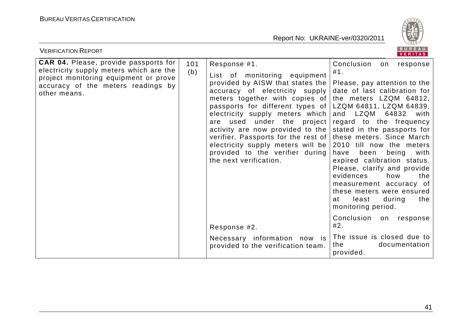

| <b>VERIFICATION REPORT</b>                                                                                                                                                             |            |                                                                                                                                                                                                                                                                                                                                                                                                                                        | BUREAU<br><b>VERITAS</b>                                                                                                                                                                                                                                                                                                                                                                                                                                                                                                                                                         |
|----------------------------------------------------------------------------------------------------------------------------------------------------------------------------------------|------------|----------------------------------------------------------------------------------------------------------------------------------------------------------------------------------------------------------------------------------------------------------------------------------------------------------------------------------------------------------------------------------------------------------------------------------------|----------------------------------------------------------------------------------------------------------------------------------------------------------------------------------------------------------------------------------------------------------------------------------------------------------------------------------------------------------------------------------------------------------------------------------------------------------------------------------------------------------------------------------------------------------------------------------|
| <b>CAR 04.</b> Please, provide passports for<br>electricity supply meters which are the<br>project monitoring equipment or prove<br>accuracy of the meters readings by<br>other means. | 101<br>(b) | Response #1.<br>List of monitoring equipment<br>provided by AISW that states the<br>accuracy of electricity supply<br>meters together with copies of<br>passports for different types of<br>electricity supply meters which<br>are used under the project<br>activity are now provided to the<br>verifier. Passports for the rest of<br>electricity supply meters will be<br>provided to the verifier during<br>the next verification. | Conclusion<br>response<br>on<br>#1.<br>Please, pay attention to the<br>date of last calibration for<br>the meters LZQM 64812,<br>LZQM 64811, LZQM 64839,<br>LZQM<br>and<br>64832<br>with<br>regard to the frequency<br>stated in the passports for<br>these meters. Since March<br>2010 till now the meters<br>been<br>have<br>being<br>with<br>expired calibration status.<br>Please, clarify and provide<br>evidences<br>how<br>the<br>measurement accuracy of<br>these meters were ensured<br>least<br>during<br>the<br>at<br>monitoring period.<br>Conclusion<br>on response |
|                                                                                                                                                                                        |            | Response #2.                                                                                                                                                                                                                                                                                                                                                                                                                           | #2.                                                                                                                                                                                                                                                                                                                                                                                                                                                                                                                                                                              |
|                                                                                                                                                                                        |            | Necessary information now is<br>provided to the verification team.                                                                                                                                                                                                                                                                                                                                                                     | The issue is closed due to<br>the<br>documentation<br>provided.                                                                                                                                                                                                                                                                                                                                                                                                                                                                                                                  |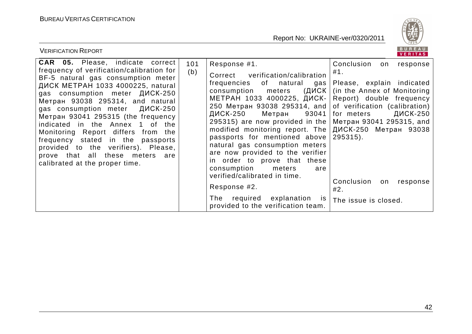

| <b>VERIFICATION REPORT</b>                                                                                                                                                                                                                                                                                                                                                                                                                                                                                                              |            |                                                                                                                                                                                                                                                                                                                                                                                                                                                                                                                                                                                                          | B U K E A U<br>VERITAS                                                                                                                                                                                                                                                                                                    |
|-----------------------------------------------------------------------------------------------------------------------------------------------------------------------------------------------------------------------------------------------------------------------------------------------------------------------------------------------------------------------------------------------------------------------------------------------------------------------------------------------------------------------------------------|------------|----------------------------------------------------------------------------------------------------------------------------------------------------------------------------------------------------------------------------------------------------------------------------------------------------------------------------------------------------------------------------------------------------------------------------------------------------------------------------------------------------------------------------------------------------------------------------------------------------------|---------------------------------------------------------------------------------------------------------------------------------------------------------------------------------------------------------------------------------------------------------------------------------------------------------------------------|
| <b>CAR 05.</b> Please, indicate correct<br>frequency of verification/calibration for<br>BF-5 natural gas consumption meter<br>ДИСК МЕТРАН 1033 4000225, natural<br>gas consumption meter ДИСК-250<br>Метран 93038 295314, and natural<br>gas consumption meter ДИСК-250<br>Метран 93041 295315 (the frequency<br>indicated in the Annex 1 of the<br>Monitoring Report differs from the<br>frequency stated in the passports<br>provided to the verifiers). Please,<br>prove that all these meters are<br>calibrated at the proper time. | 101<br>(b) | Response #1.<br>verification/calibration<br>Correct<br>frequencies<br>of natural<br>gas<br>(ДИСК  <br>meters<br>consumption<br>МЕТРАН 1033 4000225, ДИСК-<br>250 Метран 93038 295314, and  <br>ДИСК-250<br>93041  <br>Метран<br>295315) are now provided in the<br>modified monitoring report. The<br>passports for mentioned above<br>natural gas consumption meters<br>are now provided to the verifier<br>in order to prove that these<br>consumption<br>meters<br>are<br>verified/calibrated in time.<br>Response #2.<br>The required explanation<br><b>IS</b><br>provided to the verification team. | Conclusion<br>response<br>on<br>#1.<br>Please, explain indicated<br>(in the Annex of Monitoring)<br>Report) double frequency<br>of verification (calibration)<br>ДИСК-250<br>for meters<br>Метран 93041 295315, and<br>ДИСК-250 Метран 93038<br>$295315$ .<br>Conclusion<br>response<br>on<br>#2.<br>The issue is closed. |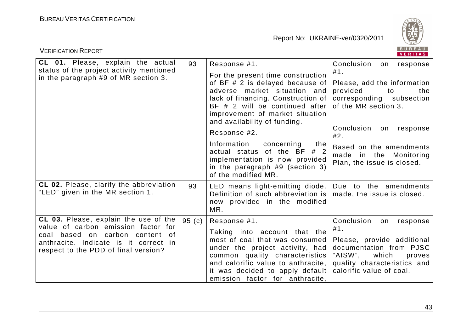

| BUREAU<br><b>VERIFICATION REPORT</b><br>VERITAS                                                                           |       |                                                                                                                                                                                                                                                 |                                                                                                                                                                 |  |
|---------------------------------------------------------------------------------------------------------------------------|-------|-------------------------------------------------------------------------------------------------------------------------------------------------------------------------------------------------------------------------------------------------|-----------------------------------------------------------------------------------------------------------------------------------------------------------------|--|
| CL 01. Please, explain the actual<br>status of the project activity mentioned<br>in the paragraph #9 of MR section 3.     | 93    | Response #1.                                                                                                                                                                                                                                    | Conclusion<br>response<br>on                                                                                                                                    |  |
|                                                                                                                           |       | For the present time construction<br>of BF # 2 is delayed because of<br>adverse market situation and<br>lack of financing. Construction of<br>BF # 2 will be continued after<br>improvement of market situation<br>and availability of funding. | #1.<br>Please, add the information<br>provided<br>to<br>the<br>corresponding subsection<br>of the MR section 3.<br>response<br>on<br>Plan, the issue is closed. |  |
|                                                                                                                           |       | Response #2.                                                                                                                                                                                                                                    | Conclusion<br>#2.                                                                                                                                               |  |
|                                                                                                                           |       | Information<br>concerning<br>the<br>actual status of the BF # 2<br>implementation is now provided<br>in the paragraph $#9$ (section 3)<br>of the modified MR.                                                                                   | Based on the amendments<br>made in the Monitoring                                                                                                               |  |
| CL 02. Please, clarify the abbreviation<br>"LED" given in the MR section 1.                                               | 93    | LED means light-emitting diode.<br>Definition of such abbreviation is<br>now provided in the modified<br>MR.                                                                                                                                    | Due to the amendments<br>made, the issue is closed.                                                                                                             |  |
| CL 03. Please, explain the use of the<br>value of carbon emission factor for                                              | 95(c) | Conclusion<br>Response #1.                                                                                                                                                                                                                      | on<br>response                                                                                                                                                  |  |
| based on carbon<br>of<br>coal<br>content<br>anthracite. Indicate is it correct in<br>respect to the PDD of final version? |       | Taking into account that the<br>most of coal that was consumed<br>under the project activity, had<br>common quality characteristics<br>and calorific value to anthracite,<br>it was decided to apply default<br>emission factor for anthracite, | #1.<br>Please, provide additional<br>documentation from PJSC<br>"AISW",<br>which<br>proves<br>quality characteristics and<br>calorific value of coal.           |  |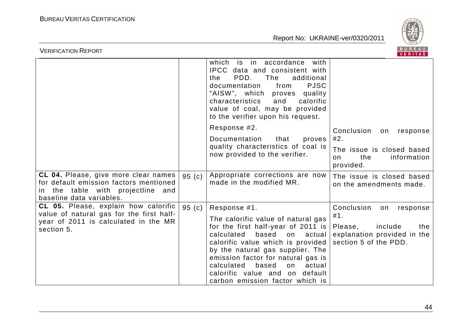

| <b>VERIFICATION REPORT</b>                                                                                                                                 |       |                                                                                                                                                                                                                                                                                                                                            | BUREAU<br>VERITAS                                                                        |
|------------------------------------------------------------------------------------------------------------------------------------------------------------|-------|--------------------------------------------------------------------------------------------------------------------------------------------------------------------------------------------------------------------------------------------------------------------------------------------------------------------------------------------|------------------------------------------------------------------------------------------|
|                                                                                                                                                            |       | which is in accordance<br>with<br>IPCC data and consistent with<br>PDD.<br>The<br>additional<br>the<br><b>PJSC</b><br>documentation<br>from<br>"AISW", which proves<br>quality<br>characteristics<br>calorific<br>and<br>value of coal, may be provided<br>to the verifier upon his request.                                               |                                                                                          |
|                                                                                                                                                            |       | Response #2.                                                                                                                                                                                                                                                                                                                               | Conclusion<br>on response                                                                |
|                                                                                                                                                            |       | Documentation<br>that<br>proves                                                                                                                                                                                                                                                                                                            | #2.                                                                                      |
|                                                                                                                                                            |       | quality characteristics of coal is<br>now provided to the verifier.                                                                                                                                                                                                                                                                        | The issue is closed based<br>the<br>information<br>on.<br>provided.                      |
| <b>CL 04.</b> Please, give more clear names<br>for default emission factors mentioned<br>the table with projectline and<br>in.<br>baseline data variables. | 95(c) | Appropriate corrections are now<br>made in the modified MR.                                                                                                                                                                                                                                                                                | The issue is closed based<br>on the amendments made.                                     |
| <b>CL 05.</b> Please, explain how calorific                                                                                                                | 95(c) | Response #1.                                                                                                                                                                                                                                                                                                                               | Conclusion<br>on<br>response                                                             |
| value of natural gas for the first half-<br>year of 2011 is calculated in the MR<br>section 5.                                                             |       | The calorific value of natural gas<br>for the first half-year of 2011 is<br>based<br>calculated<br>on<br>actual<br>calorific value which is provided<br>by the natural gas supplier. The<br>emission factor for natural gas is<br>calculated<br>based<br>actual<br>on<br>calorific value and on default<br>carbon emission factor which is | #1.<br>include<br>Please,<br>the<br>explanation provided in the<br>section 5 of the PDD. |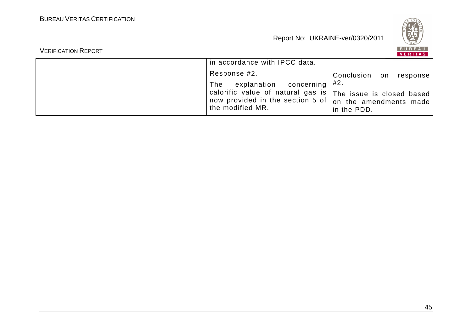

| <b>VERIFICATION REPORT</b> |                                                                                                                                                                                                    | <b>BUREAU</b><br>VERITAS |
|----------------------------|----------------------------------------------------------------------------------------------------------------------------------------------------------------------------------------------------|--------------------------|
|                            | in accordance with IPCC data.                                                                                                                                                                      |                          |
|                            | Response #2.                                                                                                                                                                                       | Conclusion on response   |
|                            | The explanation concerning $\#2$ .                                                                                                                                                                 |                          |
|                            | calorific value of natural gas is $\mid$ The issue is closed based $^{\text{\tiny{\textsf{I}}}}$<br>, now provided in the section 5 of $ $ on the amendments made $^{\dagger}$<br>the modified MR. | in the PDD.              |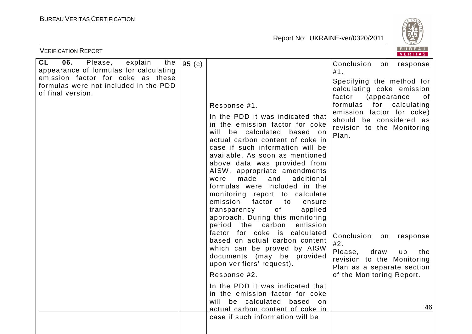

| <b>VERIFICATION REPORT</b>                                                                                                                                                                 |       |                                                                                                                                                                                                                                                                                                                                                                                                                                                                                                                                                                                                                                                                                                                                                                                                                                                                                                              | BUREAU<br>VERITAS                                                                                                                                                                                                                                                                                                                                                                                                                        |
|--------------------------------------------------------------------------------------------------------------------------------------------------------------------------------------------|-------|--------------------------------------------------------------------------------------------------------------------------------------------------------------------------------------------------------------------------------------------------------------------------------------------------------------------------------------------------------------------------------------------------------------------------------------------------------------------------------------------------------------------------------------------------------------------------------------------------------------------------------------------------------------------------------------------------------------------------------------------------------------------------------------------------------------------------------------------------------------------------------------------------------------|------------------------------------------------------------------------------------------------------------------------------------------------------------------------------------------------------------------------------------------------------------------------------------------------------------------------------------------------------------------------------------------------------------------------------------------|
| <b>CL</b><br>06.<br>Please,<br>explain<br>the<br>appearance of formulas for calculating<br>emission factor for coke as these<br>formulas were not included in the PDD<br>of final version. | 95(c) | Response #1.<br>In the PDD it was indicated that<br>in the emission factor for coke<br>will be calculated based on<br>actual carbon content of coke in<br>case if such information will be<br>available. As soon as mentioned<br>above data was provided from<br>AISW, appropriate amendments<br>made<br>were<br>and<br>additional<br>formulas were included in the<br>monitoring report to calculate<br>emission<br>factor<br>to<br>ensure<br>of<br>transparency<br>applied<br>approach. During this monitoring<br>period the carbon<br>emission<br>factor for coke is calculated<br>based on actual carbon content<br>which can be proved by AISW<br>documents (may be provided<br>upon verifiers' request).<br>Response #2.<br>In the PDD it was indicated that<br>in the emission factor for coke<br>will be calculated based on<br>actual carbon content of coke in<br>case if such information will be | Conclusion<br>on<br>response<br>#1.<br>Specifying the method for<br>calculating coke emission<br>factor<br><i>(appearance)</i><br>of<br>formulas<br>for calculating<br>emission factor for coke)<br>should be considered as<br>revision to the Monitoring<br>Plan.<br>Conclusion<br>on<br>response<br>#2.<br>Please,<br>draw<br>the<br>up<br>revision to the Monitoring<br>Plan as a separate section<br>of the Monitoring Report.<br>46 |
|                                                                                                                                                                                            |       |                                                                                                                                                                                                                                                                                                                                                                                                                                                                                                                                                                                                                                                                                                                                                                                                                                                                                                              |                                                                                                                                                                                                                                                                                                                                                                                                                                          |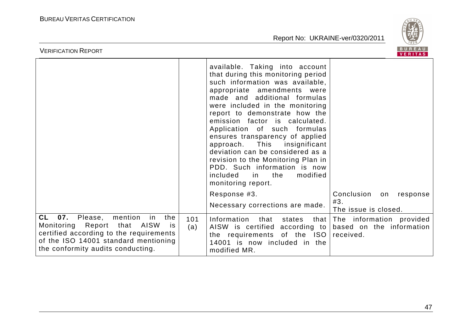

| <b>VERIFICATION REPORT</b>                                                                                                                                                                                          |            |                                                                                                                                                                                                                                                                                                                                                                                                                                                                                                                                                                | BUREAU<br>VERITAS                                                 |
|---------------------------------------------------------------------------------------------------------------------------------------------------------------------------------------------------------------------|------------|----------------------------------------------------------------------------------------------------------------------------------------------------------------------------------------------------------------------------------------------------------------------------------------------------------------------------------------------------------------------------------------------------------------------------------------------------------------------------------------------------------------------------------------------------------------|-------------------------------------------------------------------|
|                                                                                                                                                                                                                     |            | available. Taking into account<br>that during this monitoring period<br>such information was available,<br>appropriate amendments were<br>made and additional formulas<br>were included in the monitoring<br>report to demonstrate how the<br>emission factor is calculated.<br>Application of such formulas<br>ensures transparency of applied<br>approach. This<br>insignificant<br>deviation can be considered as a<br>revision to the Monitoring Plan in<br>PDD. Such information is now<br>included<br>the<br>modified<br><i>in</i><br>monitoring report. |                                                                   |
|                                                                                                                                                                                                                     |            | Response #3.                                                                                                                                                                                                                                                                                                                                                                                                                                                                                                                                                   | Conclusion<br>on<br>response                                      |
|                                                                                                                                                                                                                     |            | Necessary corrections are made.                                                                                                                                                                                                                                                                                                                                                                                                                                                                                                                                | #3.<br>The issue is closed.                                       |
| 07.<br>CL<br>Please,<br>mention<br>the<br>in<br>Monitoring Report<br>that AISW<br><b>is</b><br>certified according to the requirements<br>of the ISO 14001 standard mentioning<br>the conformity audits conducting. | 101<br>(a) | Information<br>that<br>states<br>that<br>AISW is certified<br>according to<br>the requirements of the ISO<br>14001 is now included in the<br>modified MR.                                                                                                                                                                                                                                                                                                                                                                                                      | The information provided<br>based on the information<br>received. |